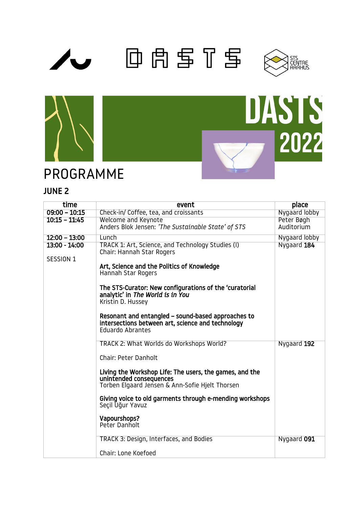







# JUNE 2

PROGRAMME

| time            | event                                                                                                                                                                               | place         |
|-----------------|-------------------------------------------------------------------------------------------------------------------------------------------------------------------------------------|---------------|
| $09:00 - 10:15$ | Check-in/ Coffee, tea, and croissants                                                                                                                                               | Nygaard lobby |
| $10:15 - 11:45$ | Welcome and Keynote                                                                                                                                                                 | Peter Bøgh    |
|                 | Anders Blok Jensen: 'The Sustainable State' of STS                                                                                                                                  | Auditorium    |
| $12:00 - 13:00$ | Lunch                                                                                                                                                                               | Nygaard lobby |
| 13:00 - 14:00   | TRACK 1: Art, Science, and Technology Studies (I)<br>Chair: Hannah Star Rogers                                                                                                      | Nygaard 184   |
| SESSION 1       | Art, Science and the Politics of Knowledge<br>Hannah Star Rogers<br>The STS-Curator: New configurations of the 'curatorial<br>analytic' in The World is in You<br>Kristin D. Hussey |               |
|                 | Resonant and entangled - sound-based approaches to<br>intersections between art, science and technology<br>Eduardo Abrantes                                                         |               |
|                 | TRACK 2: What Worlds do Workshops World?<br>Chair: Peter Danholt                                                                                                                    | Nygaard 192   |
|                 | Living the Workshop Life: The users, the games, and the<br>unintended consequences<br>Torben Elgaard Jensen & Ann-Sofie Hielt Thorsen                                               |               |
|                 | Giving voice to old garments through e-mending workshops<br>Seçil Uğur Yavuz                                                                                                        |               |
|                 | Vapourshops?<br>Peter Danholt                                                                                                                                                       |               |
|                 | TRACK 3: Design, Interfaces, and Bodies                                                                                                                                             | Nygaard 091   |
|                 | Chair: Lone Koefoed                                                                                                                                                                 |               |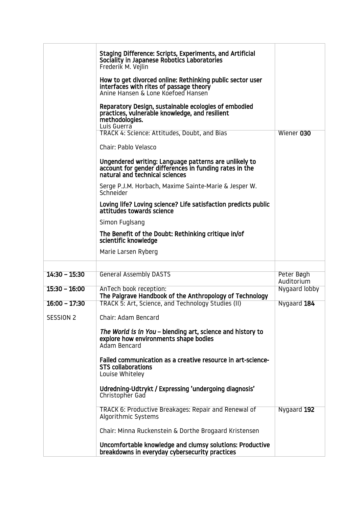|                              | Staging Difference: Scripts, Experiments, and Artificial<br>Sociality in Japanese Robotics Laboratories<br>Frederik M. Vejlin<br>How to get divorced online: Rethinking public sector user<br>interfaces with rites of passage theory<br>Anine Hansen & Lone Koefoed Hansen<br>Reparatory Design, sustainable ecologies of embodied<br>practices, vulnerable knowledge, and resilient<br>methodologies.<br>Luis Guerra                                                                                                 |                            |
|------------------------------|------------------------------------------------------------------------------------------------------------------------------------------------------------------------------------------------------------------------------------------------------------------------------------------------------------------------------------------------------------------------------------------------------------------------------------------------------------------------------------------------------------------------|----------------------------|
|                              | TRACK 4: Science: Attitudes, Doubt, and Bias<br>Chair: Pablo Velasco<br>Ungendered writing: Language patterns are unlikely to<br>account for gender differences in funding rates in the<br>natural and technical sciences<br>Serge P.J.M. Horbach, Maxime Sainte-Marie & Jesper W.<br>Schneider<br>Loving life? Loving science? Life satisfaction predicts public<br>attitudes towards science<br>Simon Fuglsang<br>The Benefit of the Doubt: Rethinking critique in/of<br>scientific knowledge<br>Marie Larsen Ryberg | Wiener 030                 |
|                              |                                                                                                                                                                                                                                                                                                                                                                                                                                                                                                                        |                            |
| $14:30 - 15:30$              | <b>General Assembly DASTS</b>                                                                                                                                                                                                                                                                                                                                                                                                                                                                                          | Peter Bøgh<br>Auditorium   |
| $15:30 - 16:00$              | AnTech book reception:<br>The Palgrave Handbook of the Anthropology of Technology                                                                                                                                                                                                                                                                                                                                                                                                                                      | Nygaard lobby              |
| $16:00 - 17:30$<br>SESSION 2 | TRACK 5: Art, Science, and Technology Studies (II)<br>Chair: Adam Bencard<br>The World is in You - blending art, science and history to<br>explore how environments shape bodies<br>Adam Bencard<br>Failed communication as a creative resource in art-science-<br><b>STS collaborations</b><br>Louise Whiteley<br>Udredning-Udtrykt / Expressing 'undergoing diagnosis'<br>Christopher Gad<br>TRACK 6: Productive Breakages: Repair and Renewal of                                                                    | Nygaard 184<br>Nygaard 192 |
|                              | Algorithmic Systems<br>Chair: Minna Ruckenstein & Dorthe Brogaard Kristensen<br>Uncomfortable knowledge and clumsy solutions: Productive<br>breakdowns in everyday cybersecurity practices                                                                                                                                                                                                                                                                                                                             |                            |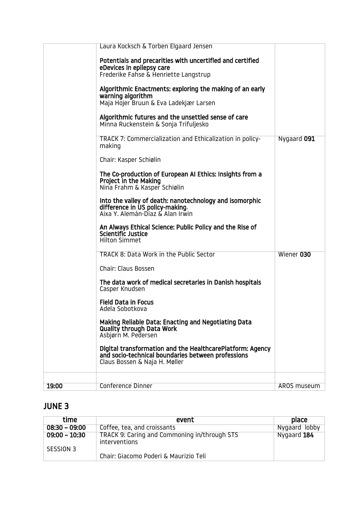| 19:00 | <b>Conference Dinner</b>                                                                                                                                                | AROS museum |
|-------|-------------------------------------------------------------------------------------------------------------------------------------------------------------------------|-------------|
|       | Asbjørn M. Pedersen<br>Digital transformation and the HealthcarePlatform: Agency<br>and socio-technical boundaries between professions<br>Claus Bossen & Naja H. Møller |             |
|       | Making Reliable Data: Enacting and Negotiating Data<br><b>Quality through Data Work</b>                                                                                 |             |
|       | <b>Field Data in Focus</b><br>Adela Sobotkova                                                                                                                           |             |
|       | The data work of medical secretaries in Danish hospitals<br>Casper Knudsen                                                                                              |             |
|       | <b>Chair: Claus Bossen</b>                                                                                                                                              |             |
|       | TRACK 8: Data Work in the Public Sector                                                                                                                                 | Wiener 030  |
|       | An Always Ethical Science: Public Policy and the Rise of<br>Scientific Justice<br><b>Hilton Simmet</b>                                                                  |             |
|       | Into the valley of death: nanotechnology and isomorphic<br>difference in US policy-making.<br>Aixa Y. Alemán-Díaz & Alan Irwin                                          |             |
|       | The Co-production of European AI Ethics: Insights from a<br>Project in the Making<br>Nina Frahm & Kasper Schiølin                                                       |             |
|       | Chair: Kasper Schiølin                                                                                                                                                  |             |
|       | TRACK 7: Commercialization and Ethicalization in policy-<br>making                                                                                                      | Nygaard 091 |
|       | Algorithmic futures and the unsettled sense of care<br>Minna Ruckenstein & Sonja Trifuljesko                                                                            |             |
|       | Algorithmic Enactments: exploring the making of an early<br>warning algorithm<br>Maja Hojer Bruun & Eva Ladekjær Larsen                                                 |             |
|       | Potentials and precarities with uncertified and certified<br>eDevices in epilepsy care<br>Frederike Fahse & Henriette Langstrup                                         |             |
|       | Laura Kocksch & Torben Elgaard Jensen                                                                                                                                   |             |

# JUNE 3

| time            | event                                                         | place         |
|-----------------|---------------------------------------------------------------|---------------|
| $08:30 - 09:00$ | Coffee, tea, and croissants                                   | Nygaard lobby |
| $09:00 - 10:30$ | TRACK 9: Caring and Commoning in/through STS<br>interventions | Nygaard 184   |
| SESSION 3       |                                                               |               |
|                 | Chair: Giacomo Poderi & Maurizio Teli                         |               |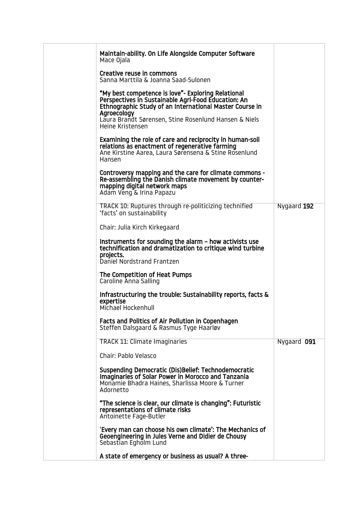| Maintain-ability. On Life Alongside Computer Software<br>Mace Ojala                                                                                                                                                                          |             |
|----------------------------------------------------------------------------------------------------------------------------------------------------------------------------------------------------------------------------------------------|-------------|
| Creative reuse in commons<br>Sanna Marttila & Joanna Saad-Sulonen                                                                                                                                                                            |             |
| "My best competence is love"- Exploring Relational<br>Perspectives in Sustainable Agri-Food Education: An<br>Ethnographic Study of an International Master Course in<br>Agroecology<br>Laura Brandt Sørensen, Stine Rosenlund Hansen & Niels |             |
| Heine Kristensen                                                                                                                                                                                                                             |             |
| Examining the role of care and reciprocity in human-soil<br>relations as enactment of regenerative farming<br>Ane Kirstine Aarea, Laura Sørensena & Stine Rosenlund<br>Hansen                                                                |             |
| Controversy mapping and the care for climate commons -<br>Re-assembling the Danish climate movement by counter-<br>mapping digital network maps<br>Adam Veng & Irina Papazu                                                                  |             |
| TRACK 10: Ruptures through re-politicizing technified<br>'facts' on sustainability                                                                                                                                                           | Nygaard 192 |
| Chair: Julia Kirch Kirkegaard                                                                                                                                                                                                                |             |
| Instruments for sounding the alarm – how activists use<br>technification and dramatization to critique wind turbine<br>projects.<br>Daniel Nordstrand Frantzen                                                                               |             |
| The Competition of Heat Pumps<br>Caroline Anna Salling                                                                                                                                                                                       |             |
| Infrastructuring the trouble: Sustainability reports, facts &<br>expertise<br>Michael Hockenhull                                                                                                                                             |             |
| Facts and Politics of Air Pollution in Copenhagen<br>Steffen Dalsgaard & Rasmus Tyge Haarløv                                                                                                                                                 |             |
| <b>TRACK 11: Climate Imaginaries</b>                                                                                                                                                                                                         | Nygaard 091 |
| Chair: Pablo Velasco                                                                                                                                                                                                                         |             |
| Suspending Democratic (Dis)Belief: Technodemocratic<br>Imaginaries of Solar Power in Morocco and Tanzania<br>Monamie Bhadra Haines, Sharlissa Moore & Turner<br>Adornetto                                                                    |             |
| "The science is clear, our climate is changing": Futuristic<br>representations of climate risks<br>Antoinette Fage-Butler                                                                                                                    |             |
| 'Every man can choose his own climate': The Mechanics of<br>Geoengineering in Jules Verne and Didier de Chousy<br>Sebastian Egholm Lund                                                                                                      |             |
| A state of emergency or business as usual? A three-                                                                                                                                                                                          |             |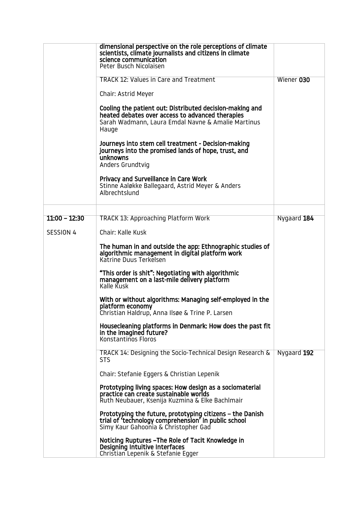|                 | dimensional perspective on the role perceptions of climate<br>scientists, climate journalists and citizens in climate<br>science communication<br>Peter Busch Nicolaisen    |             |
|-----------------|-----------------------------------------------------------------------------------------------------------------------------------------------------------------------------|-------------|
|                 | <b>TRACK 12: Values in Care and Treatment</b>                                                                                                                               | Wiener 030  |
|                 | Chair: Astrid Meyer                                                                                                                                                         |             |
|                 | Cooling the patient out: Distributed decision-making and<br>heated debates over access to advanced therapies<br>Sarah Wadmann, Laura Emdal Navne & Amalie Martinus<br>Hauge |             |
|                 | Journeys into stem cell treatment - Decision-making<br>journeys into the promised lands of hope, trust, and<br>unknowns<br>Anders Grundtvig                                 |             |
|                 | Privacy and Surveillance in Care Work<br>Stinne Aaløkke Ballegaard, Astrid Meyer & Anders<br>Albrechtslund                                                                  |             |
| $11:00 - 12:30$ | <b>TRACK 13: Approaching Platform Work</b>                                                                                                                                  | Nygaard 184 |
| SESSION 4       | Chair: Kalle Kusk                                                                                                                                                           |             |
|                 | The human in and outside the app: Ethnographic studies of                                                                                                                   |             |
|                 | algorithmic management in digital platform work<br>Katrine Duus Terkelsen                                                                                                   |             |
|                 | "This order is shit": Negotiating with algorithmic<br>management on a last-mile delivery platform<br>Kalle Kusk                                                             |             |
|                 | With or without algorithms: Managing self-employed in the<br>platform economy<br>Christian Haldrup, Anna Ilsøe & Trine P. Larsen                                            |             |
|                 | Housecleaning platforms in Denmark: How does the past fit<br>in the imagined future?<br>Konstantinos Floros                                                                 |             |
|                 | TRACK 14: Designing the Socio-Technical Design Research &<br><b>STS</b>                                                                                                     | Nygaard 192 |
|                 | Chair: Stefanie Eggers & Christian Lepenik                                                                                                                                  |             |
|                 | Prototyping living spaces: How design as a sociomaterial<br>practice can create sustainable worlds<br>Ruth Neubauer, Ksenija Kuzmina & Elke Bachlmair                       |             |
|                 | Prototyping the future, prototyping citizens - the Danish<br>trial of 'technology comprehension' in public school<br>Simy Kaur Gahoonia & Christopher Gad                   |             |
|                 | Noticing Ruptures - The Role of Tacit Knowledge in<br>Designing Intuitive Interfaces<br>Christian Lepenik & Stefanie Egger                                                  |             |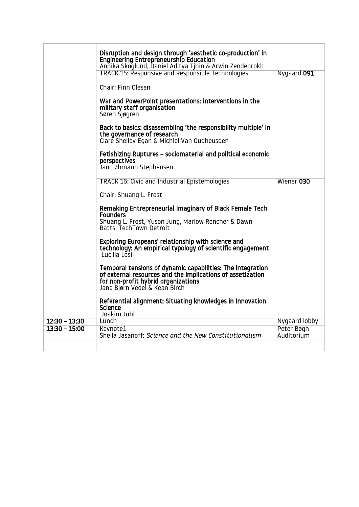|                 | Disruption and design through 'aesthetic co-production' in<br>Engineering Entrepreneurship Education<br>Annika Skoglund, Daniel Aditya Tjhin & Arwin Zendehrokh                                  |                          |
|-----------------|--------------------------------------------------------------------------------------------------------------------------------------------------------------------------------------------------|--------------------------|
|                 | <b>TRACK 15: Responsive and Responsible Technologies</b>                                                                                                                                         | Nygaard 091              |
|                 | Chair: Finn Olesen                                                                                                                                                                               |                          |
|                 | War and PowerPoint presentations: interventions in the<br>military staff organisation<br>Søren Sjøgren                                                                                           |                          |
|                 | Back to basics: disassembling 'the responsibility multiple' in<br>the governance of research<br>Clare Shelley-Egan & Michiel Van Oudheusden                                                      |                          |
|                 | Fetishizing Ruptures – sociomaterial and political economic<br>perspectives<br>Jan Løhmann Stephensen                                                                                            |                          |
|                 | <b>TRACK 16: Civic and Industrial Epistemologies</b>                                                                                                                                             | Wiener 030               |
|                 | Chair: Shuang L. Frost                                                                                                                                                                           |                          |
|                 | Remaking Entrepreneurial Imaginary of Black Female Tech<br><b>Founders</b><br>Shuang L. Frost, Yuson Jung, Marlow Rencher & Dawn<br>Batts, TechTown Detroit                                      |                          |
|                 | Exploring Europeans' relationship with science and<br>technology: An empirical typology of scientific engagement<br>Lucilla Losi                                                                 |                          |
|                 | Temporal tensions of dynamic capabilities: The integration<br>of external resources and the implications of assetization<br>for non-profit hybrid organizations<br>Jane Bjørn Vedel & Kean Birch |                          |
|                 | Referential alignment: Situating knowledges in Innovation<br><b>Science</b><br>Joakim Juhl                                                                                                       |                          |
| $12:30 - 13:30$ | Lunch                                                                                                                                                                                            | Nygaard lobby            |
| $13:30 - 15:00$ | Keynote1<br>Sheila Jasanoff: Science and the New Constitutionalism                                                                                                                               | Peter Bøgh<br>Auditorium |
|                 |                                                                                                                                                                                                  |                          |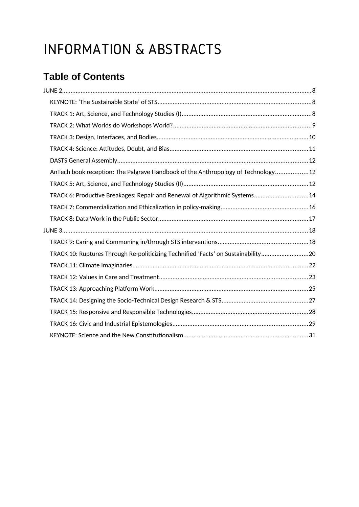# INFORMATION & ABSTRACTS

# **Table of Contents**

| AnTech book reception: The Palgrave Handbook of the Anthropology of Technology12  |  |
|-----------------------------------------------------------------------------------|--|
|                                                                                   |  |
| TRACK 6: Productive Breakages: Repair and Renewal of Algorithmic Systems14        |  |
|                                                                                   |  |
|                                                                                   |  |
|                                                                                   |  |
|                                                                                   |  |
| TRACK 10: Ruptures Through Re-politicizing Technified 'Facts' on Sustainability20 |  |
|                                                                                   |  |
|                                                                                   |  |
|                                                                                   |  |
|                                                                                   |  |
|                                                                                   |  |
|                                                                                   |  |
|                                                                                   |  |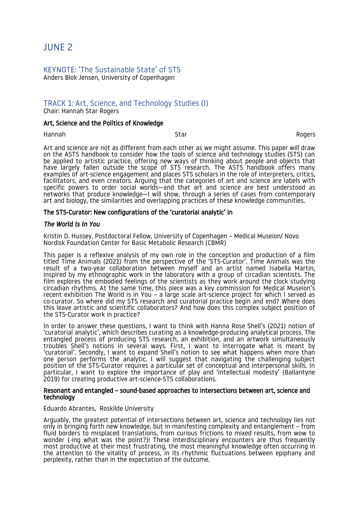# <span id="page-7-2"></span>JUNE 2

# <span id="page-7-1"></span>KEYNOTE: 'The Sustainable State' of STS

Anders Blok Jensen, University of Copenhagen

# <span id="page-7-0"></span>TRACK 1: Art, Science, and Technology Studies (I)

Chair: Hannah Star Rogers

#### Art, Science and the Politics of Knowledge

Hannah Star Rogers

Art and science are not as different from each other as we might assume. This paper will draw on the ASTS handbook to consider how the tools of science and technology studies (STS) can be applied to artistic practice, offering new ways of thinking about people and objects that have largely fallen outside the scope of STS research. The ASTS handbook offers many examples of art-science engagement and places STS scholars in the role of interpreters, critics, facilitators, and even creators. Arguing that the categories of art and science are labels with specific powers to order social worlds—and that art and science are best understood as networks that produce knowledge—I will show, through a series of cases from contemporary art and biology, the similarities and overlapping practices of these knowledge communities.

#### The STS-Curator: New configurations of the 'curatorial analytic' in

#### *The World is in You*

Kristin D. Hussey, Postdoctoral Fellow, University of Copenhagen – Medical Museion/ Novo Nordisk Foundation Center for Basic Metabolic Research (CBMR)

This paper is a reflexive analysis of my own role in the conception and production of a film titled Time Animals (2021) from the perspective of the 'STS-Curator'. Time Animals was the result of a two-year collaboration between myself and an artist named Isabella Martin, inspired by my ethnographic work in the laboratory with a group of circadian scientists. The film explores the embodied feelings of the scientists as they work around the clock studying circadian rhythms. At the same time, this piece was a key commission for Medical Museion's recent exhibition The World is in You – a large scale art-science project for which I served as co-curator. So where did my STS research and curatorial practice begin and end? Where does this leave artistic and scientific collaborators? And how does this complex subject position of the STS-Curator work in practice?

In order to answer these questions, I want to think with Hanna Rose Shell's (2021) notion of 'curatorial analytic', which describes curating as a knowledge-producing analytical process. The entangled process of producing STS research, an exhibition, and an artwork simultaneously troubles Shell's notions in several ways. First, I want to interrogate what is meant by 'curatorial'. Secondly, I want to expand Shell's notion to see what happens when more than one person performs the analytic. I will suggest that navigating the challenging subject position of the STS-Curator requires a particular set of conceptual and interpersonal skills. In particular, I want to explore the importance of play and 'intellectual modesty' (Ballantyne 2019) for creating productive art-science-STS collaborations.

#### Resonant and entangled – sound-based approaches to intersections between art, science and technology

#### Eduardo Abrantes, Roskilde University

Arguably, the greatest potential of intersections between art, science and technology lies not only in bringing forth new knowledge, but in manifesting complexity and entanglement – from fluid borders to misplaced translations, from curious frictions to mixed results, from wow to wonder (-ing what was the point?)! These interdisciplinary encounters are thus frequently most productive at their most frustrating, the most meaningful knowledge often occurring in the attention to the vitality of process, in its rhythmic fluctuations between epiphany and perplexity, rather than in the expectation of the outcome.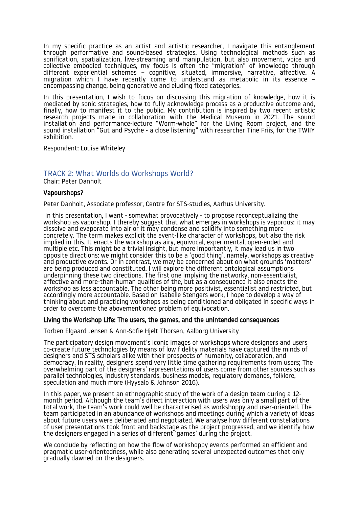In my specific practice as an artist and artistic researcher, I navigate this entanglement through performative and sound-based strategies. Using technological methods such as sonification, spatialization, live-streaming and manipulation, but also movement, voice and collective embodied techniques, my focus is often the "migration" of knowledge through different experiential schemes – cognitive, situated, immersive, narrative, affective. A migration which I have recently come to understand as metabolic in its essence – encompassing change, being generative and eluding fixed categories.

In this presentation, I wish to focus on discussing this migration of knowledge, how it is mediated by sonic strategies, how to fully acknowledge process as a productive outcome and, finally, how to manifest it to the public. My contribution is inspired by two recent artistic research projects made in collaboration with the Medical Museum in 2021. The sound installation and performance-lecture "Worm-whole" for the Living Room project, and the sound installation "Gut and Psyche - a close listening" with researcher Tine Friis, for the TWIIY exhibition.

Respondent: Louise Whiteley

# <span id="page-8-0"></span>TRACK 2: What Worlds do Workshops World?

Chair: Peter Danholt

#### Vapourshops?

Peter Danholt, Associate professor, Centre for STS-studies, Aarhus University.

 In this presentation, I want - somewhat provocatively - to propose reconceptualizing the workshop as vaporshop. I thereby suggest that what emerges in workshops is vaporous: it may dissolve and evaporate into air or it may condense and solidify into something more concretely. The term makes explicit the event-like character of workshops, but also the risk implied in this. It enacts the workshop as airy, equivocal, experimental, open-ended and multiple etc. This might be a trivial insight, but more importantly, it may lead us in two opposite directions: we might consider this to be a 'good thing', namely, workshops as creative and productive events. Or in contrast, we may be concerned about on what grounds 'matters' are being produced and constituted. I will explore the different ontological assumptions underpinning these two directions. The first one implying the networky, non-essentialist, affective and more-than-human qualities of the, but as a consequence it also enacts the workshop as less accountable. The other being more positivist, essentialist and restricted, but accordingly more accountable. Based on Isabelle Stengers work, I hope to develop a way of thinking about and practicing workshops as being conditioned and obligated in specific ways in order to overcome the abovementioned problem of equivocation.

#### Living the Workshop Life: The users, the games, and the unintended consequences

Torben Elgaard Jensen & Ann-Sofie Hjelt Thorsen, Aalborg University

The participatory design movement's iconic images of workshops where designers and users co-create future technologies by means of low fidelity materials have captured the minds of designers and STS scholars alike with their prospects of humanity, collaboration, and democracy. In reality, designers spend very little time gathering requirements from users; The overwhelming part of the designers' representations of users come from other sources such as parallel technologies, industry standards, business models, regulatory demands, folklore, speculation and much more (Hyysalo & Johnson 2016).

In this paper, we present an ethnographic study of the work of a design team during a 12 month period. Although the team's direct interaction with users was only a small part of the total work, the team's work could well be characterised as workshoppy and user-oriented. The team participated in an abundance of workshops and meetings during which a variety of ideas about future users were deliberated and negotiated. We analyse how different constellations of user presentations took front and backstage as the project progressed, and we identify how the designers engaged in a series of different 'games' during the project.

We conclude by reflecting on how the flow of workshoppy events performed an efficient and pragmatic user-orientedness, while also generating several unexpected outcomes that only gradually dawned on the designers.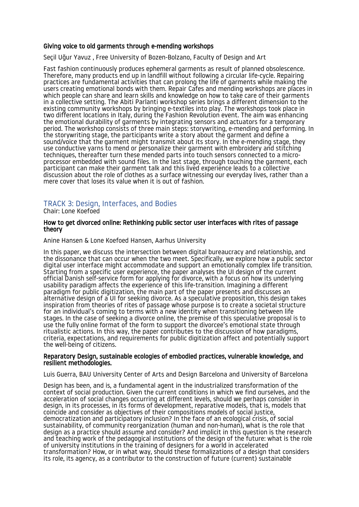#### Giving voice to old garments through e-mending workshops

Seçil Uğur Yavuz , Free University of Bozen-Bolzano, Faculty of Design and Art

Fast fashion continuously produces ephemeral garments as result of planned obsolescence. Therefore, many products end up in landfill without following a circular life-cycle. Repairing practices are fundamental activities that can prolong the life of garments while making the users creating emotional bonds with them. Repair Cafes and mending workshops are places in which people can share and learn skills and knowledge on how to take care of their garments in a collective setting. The Abiti Parlanti workshop series brings a different dimension to the existing community workshops by bringing e-textiles into play. The workshops took place in two different locations in Italy, during the Fashion Revolution event. The aim was enhancing the emotional durability of garments by integrating sensors and actuators for a temporary period. The workshop consists of three main steps: storywriting, e-mending and performing. In the storywriting stage, the participants write a story about the garment and define a sound/voice that the garment might transmit about its story. In the e-mending stage, they use conductive yarns to mend or personalize their garment with embroidery and stitching techniques, thereafter turn these mended parts into touch sensors connected to a microprocessor embedded with sound files. In the last stage, through touching the garment, each participant can make their garment talk and this lived experience leads to a collective discussion about the role of clothes as a surface witnessing our everyday lives, rather than a mere cover that loses its value when it is out of fashion.

# <span id="page-9-0"></span>TRACK 3: Design, Interfaces, and Bodies

Chair: Lone Koefoed

#### How to get divorced online: Rethinking public sector user interfaces with rites of passage theory

Anine Hansen & Lone Koefoed Hansen, Aarhus University

In this paper, we discuss the intersection between digital bureaucracy and relationship, and the dissonance that can occur when the two meet. Specifically, we explore how a public sector digital user interface might accommodate and support an emotionally complex life transition. Starting from a specific user experience, the paper analyses the UI design of the current official Danish self-service form for applying for divorce, with a focus on how its underlying usability paradigm affects the experience of this life-transition. Imagining a different paradigm for public digitization, the main part of the paper presents and discusses an alternative design of a UI for seeking divorce. As a speculative proposition, this design takes inspiration from theories of rites of passage whose purpose is to create a societal structure for an individual's coming to terms with a new identity when transitioning between life stages. In the case of seeking a divorce online, the premise of this speculative proposal is to use the fully online format of the form to support the divorcee's emotional state through ritualistic actions. In this way, the paper contributes to the discussion of how paradigms, criteria, expectations, and requirements for public digitization affect and potentially support the well-being of citizens.

#### Reparatory Design, sustainable ecologies of embodied practices, vulnerable knowledge, and resilient methodologies.

Luis Guerra, BAU University Center of Arts and Design Barcelona and University of Barcelona

Design has been, and is, a fundamental agent in the industrialized transformation of the context of social production. Given the current conditions in which we find ourselves. and the acceleration of social changes occurring at different levels, should we perhaps consider in design, in its processes, in its forms of development, reparative models, that is, models that coincide and consider as objectives of their compositions models of social justice, democratization and participatory inclusion? In the face of an ecological crisis, of social sustainability, of community reorganization (human and non-human), what is the role that design as a practice should assume and consider? And implicit in this question is the research and teaching work of the pedagogical institutions of the design of the future: what is the role of university institutions in the training of designers for a world in accelerated transformation? How, or in what way, should these formalizations of a design that considers its role, its agency, as a contributor to the construction of future (current) sustainable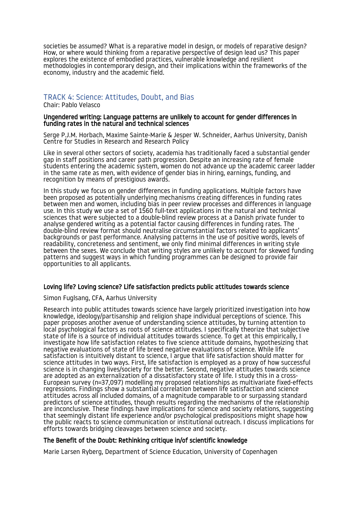societies be assumed? What is a reparative model in design, or models of reparative design? How, or where would thinking from a reparative perspective of design lead us? This paper explores the existence of embodied practices, vulnerable knowledge and resilient methodologies in contemporary design, and their implications within the frameworks of the economy, industry and the academic field.

# <span id="page-10-0"></span>TRACK 4: Science: Attitudes, Doubt, and Bias

Chair: Pablo Velasco

#### Ungendered writing: Language patterns are unlikely to account for gender differences in funding rates in the natural and technical sciences

Serge P.J.M. Horbach, Maxime Sainte-Marie & Jesper W. Schneider, Aarhus University, Danish Centre for Studies in Research and Research Policy

Like in several other sectors of society, academia has traditionally faced a substantial gender gap in staff positions and career path progression. Despite an increasing rate of female students entering the academic system, women do not advance up the academic career ladder in the same rate as men, with evidence of gender bias in hiring, earnings, funding, and recognition by means of prestigious awards.

In this study we focus on gender differences in funding applications. Multiple factors have been proposed as potentially underlying mechanisms creating differences in funding rates between men and women, including bias in peer review processes and differences in language use. In this study we use a set of 1560 full-text applications in the natural and technical sciences that were subjected to a double-blind review process at a Danish private funder to analyse gendered writing as a potential factor causing differences in funding rates. The double-blind review format should neutralise circumstantial factors related to applicants' backgrounds or past performance. Analysing patterns in the use of positive words, levels of readability, concreteness and sentiment, we only find minimal differences in writing style between the sexes. We conclude that writing styles are unlikely to account for skewed funding patterns and suggest ways in which funding programmes can be designed to provide fair opportunities to all applicants.

#### Loving life? Loving science? Life satisfaction predicts public attitudes towards science

#### Simon Fuglsang, CFA, Aarhus University

Research into public attitudes towards science have largely prioritized investigation into how knowledge, ideology/partisanship and religion shape individual perceptions of science. This paper proposes another avenue of understanding science attitudes, by turning attention to local psychological factors as roots of science attitudes. I specifically theorize that subjective state of life is a source of individual attitudes towards science. To get at this empirically, I investigate how life satisfaction relates to five science attitude domains, hypothesizing that negative evaluations of state of life breed negative evaluations of science. While life satisfaction is intuitively distant to science, I argue that life satisfaction should matter for science attitudes in two ways. First, life satisfaction is employed as a proxy of how successful science is in changing lives/society for the better. Second, negative attitudes towards science are adopted as an externalization of a dissatisfactory state of life. I study this in a cross-European survey (n=37,097) modelling my proposed relationships as multivariate fixed-effects regressions. Findings show a substantial correlation between life satisfaction and science attitudes across all included domains, of a magnitude comparable to or surpassing standard predictors of science attitudes, though results regarding the mechanisms of the relationship are inconclusive. These findings have implications for science and society relations, suggesting that seemingly distant life experience and/or psychological predispositions might shape how the public reacts to science communication or institutional outreach. I discuss implications for efforts towards bridging cleavages between science and society.

# The Benefit of the Doubt: Rethinking critique in/of scientific knowledge

Marie Larsen Ryberg, Department of Science Education, University of Copenhagen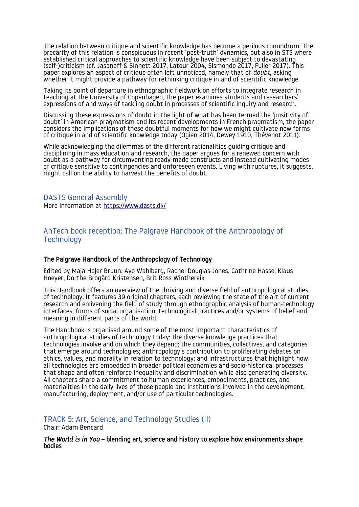The relation between critique and scientific knowledge has become a perilous conundrum. The precarity of this relation is conspicuous in recent 'post-truth' dynamics, but also in STS where established critical approaches to scientific knowledge have been subject to devastating (self-)criticism (cf. Jasanoff & Sinnett 2017, Latour 2004, Sismondo 2017, Fuller 2017). This paper explores an aspect of critique often left unnoticed, namely that of *doubt*, asking whether it might provide a pathway for rethinking critique in and of scientific knowledge.

Taking its point of departure in ethnographic fieldwork on efforts to integrate research in teaching at the University of Copenhagen, the paper examines students and researchers' expressions of and ways of tackling doubt in processes of scientific inquiry and research.

Discussing these expressions of doubt in the light of what has been termed the 'positivity of doubt' in American pragmatism and its recent developments in French pragmatism, the paper considers the implications of these doubtful moments for how we might cultivate new forms of critique in and of scientific knowledge today (Ogien 2014, Dewey 1910, Thévenot 2011).

While acknowledging the dilemmas of the different rationalities guiding critique and disciplining in mass education and research, the paper argues for a renewed concern with doubt as a pathway for circumventing ready-made constructs and instead cultivating modes of critique sensitive to contingencies and unforeseen events. Living with ruptures, it suggests, might call on the ability to harvest the benefits of doubt.

<span id="page-11-2"></span>DASTS General Assembly More information at [https://www.dasts.dk/](https://www.dasts.dk/?tribe_events=indkaldelse-til-ordinaer-generalforsamling-i-dasts)

# <span id="page-11-1"></span>AnTech book reception: The Palgrave Handbook of the Anthropology of **Technology**

#### The Palgrave Handbook of the Anthropology of Technology

Edited by Maja Hojer Bruun, Ayo Wahlberg, Rachel Douglas-Jones, Cathrine Hasse, Klaus Hoeyer, Dorthe Brogård Kristensen, Brit Ross Winthereik

This Handbook offers an overview of the thriving and diverse field of anthropological studies of technology. It features 39 original chapters, each reviewing the state of the art of current research and enlivening the field of study through ethnographic analysis of human-technology interfaces, forms of social organisation, technological practices and/or systems of belief and meaning in different parts of the world.

The Handbook is organised around some of the most important characteristics of anthropological studies of technology today: the diverse knowledge practices that technologies involve and on which they depend; the communities, collectives, and categories that emerge around technologies; anthropology's contribution to proliferating debates on ethics, values, and morality in relation to technology; and infrastructures that highlight how all technologies are embedded in broader political economies and socio-historical processes that shape and often reinforce inequality and discrimination while also generating diversity. All chapters share a commitment to human experiences, embodiments, practices, and materialities in the daily lives of those people and institutions involved in the development, manufacturing, deployment, and/or use of particular technologies.

<span id="page-11-0"></span>TRACK 5: Art, Science, and Technology Studies (II)

Chair: Adam Bencard

*The World is in You* – blending art, science and history to explore how environments shape bodies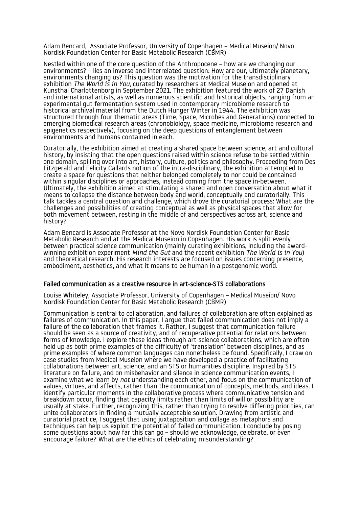Adam Bencard, Associate Professor, University of Copenhagen – Medical Museion/ Novo Nordisk Foundation Center for Basic Metabolic Research (CBMR)

Nestled within one of the core question of the Anthropocene – how are we changing our environments? – lies an inverse and interrelated question: How are our, ultimately planetary, environments changing us? This question was the motivation for the transdisciplinary exhibition *The World is in You*, curated by researchers at Medical Museion and opened at Kunsthal Charlottenborg in September 2021. The exhibition featured the work of 27 Danish and international artists, as well as numerous scientific and historical objects, ranging from an experimental gut fermentation system used in contemporary microbiome research to historical archival material from the Dutch Hunger Winter in 1944. The exhibition was structured through four thematic areas (Time, Space, Microbes and Generations) connected to emerging biomedical research areas (chronobiology, space medicine, microbiome research and epigenetics respectively), focusing on the deep questions of entanglement between environments and humans contained in each.

Curatorially, the exhibition aimed at creating a shared space between science, art and cultural history, by insisting that the open questions raised within science refuse to be settled within one domain, spilling over into art, history, culture, politics and philosophy. Proceeding from Des Fitzgerald and Felicity Callards notion of the intra-disciplinary, the exhibition attempted to create a space for questions that neither belonged completely to nor could be contained within singular disciplines or approaches, instead coming from the space in-between. Ultimately, the exhibition aimed at stimulating a shared and open conversation about what it means to collapse the distance between body and world, conceptually and curatorially. This talk tackles a central question and challenge, which drove the curatorial process: What are the challenges and possibilities of creating conceptual as well as physical spaces that allow for both movement between, resting in the middle of and perspectives across art, science and history?

Adam Bencard is Associate Professor at the Novo Nordisk Foundation Center for Basic Metabolic Research and at the Medical Museion in Copenhagen. His work is split evenly between practical science communication (mainly curating exhibitions, including the awardwinning exhibition experiment *Mind the Gut* and the recent exhibition *The World is in You*) and theoretical research. His research interests are focused on issues concerning presence, embodiment, aesthetics, and what it means to be human in a postgenomic world.

#### Failed communication as a creative resource in art-science-STS collaborations

Louise Whiteley, Associate Professor, University of Copenhagen – Medical Museion/ Novo Nordisk Foundation Center for Basic Metabolic Research (CBMR)

Communication is central to collaboration, and failures of collaboration are often explained as failures of communication. In this paper, I argue that failed communication does not imply a failure of the collaboration that frames it. Rather, I suggest that communication failure should be seen as a source of creativity, and of recuperative potential for relations between forms of knowledge. I explore these ideas through art-science collaborations, which are often held up as both prime examples of the difficulty of 'translation' between disciplines, and as prime examples of where common languages can nonetheless be found. Specifically, I draw on case studies from Medical Museion where we have developed a practice of facilitating collaborations between art, science, and an STS or humanities discipline. Inspired by STS literature on failure, and on misbehavior and silence in science communication events, I examine what we learn by *not* understanding each other, and focus on the communication of values, virtues, and affects, rather than the communication of concepts, methods, and ideas. I identify particular moments in the collaborative process where communicative tension and breakdown occur, finding that capacity limits rather than limits of will or possibility are usually at stake. Further, recognizing this, rather than trying to resolve differing priorities, can unite collaborators in finding a mutually acceptable solution. Drawing from artistic and curatorial practice, I suggest that using juxtaposition and collage as metaphors and techniques can help us exploit the potential of failed communication. I conclude by posing some questions about how far this can go – should we acknowledge, celebrate, or even encourage failure? What are the ethics of celebrating misunderstanding?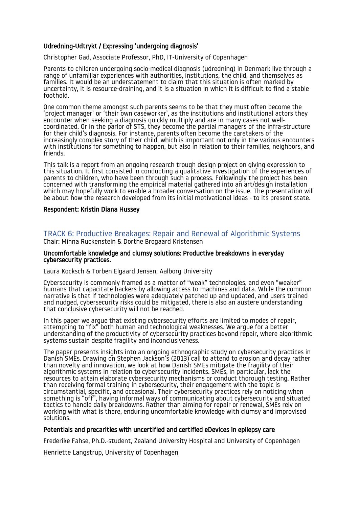# Udredning-Udtrykt / Expressing 'undergoing diagnosis'

Christopher Gad, Associate Professor, PhD, IT-University of Copenhagen

Parents to children undergoing socio-medical diagnosis (udredning) in Denmark live through a range of unfamiliar experiences with authorities, institutions, the child, and themselves as families. It would be an understatement to claim that this situation is often marked by uncertainty, it is resource-draining, and it is a situation in which it is difficult to find a stable foothold.

One common theme amongst such parents seems to be that they must often become the 'project manager' or 'their own caseworker', as the institutions and institutional actors they encounter when seeking a diagnosis quickly multiply and are in many cases not wellcoordinated. Or in the parlor of STS, they become the partial managers of the infra-structure for their child's diagnosis. For instance, parents often become the caretakers of the increasingly complex story of their child, which is important not only in the various encounters with institutions for something to happen, but also in relation to their families, neighbors, and friends.

This talk is a report from an ongoing research trough design project on giving expression to this situation. It first consisted in conducting a qualitative investigation of the experiences of parents to children, who have been through such a process. Followingly the project has been concerned with transforming the empirical material gathered into an art/design installation which may hopefully work to enable a broader conversation on the issue. The presentation will be about how the research developed from its initial motivational ideas - to its present state.

#### Respondent: Kristin Diana Hussey

#### <span id="page-13-0"></span>TRACK 6: Productive Breakages: Repair and Renewal of Algorithmic Systems Chair: Minna Ruckenstein & Dorthe Brogaard Kristensen

#### Uncomfortable knowledge and clumsy solutions: Productive breakdowns in everyday cybersecurity practices.

#### Laura Kocksch & Torben Elgaard Jensen, Aalborg University

Cybersecurity is commonly framed as a matter of "weak" technologies, and even "weaker" humans that capacitate hackers by allowing access to machines and data. While the common narrative is that if technologies were adequately patched up and updated, and users trained and nudged, cybersecurity risks could be mitigated, there is also an austere understanding that conclusive cybersecurity will not be reached.

In this paper we argue that existing cybersecurity efforts are limited to modes of repair, attempting to "fix" both human and technological weaknesses. We argue for a better understanding of the productivity of cybersecurity practices beyond repair, where algorithmic systems sustain despite fragility and inconclusiveness.

The paper presents insights into an ongoing ethnographic study on cybersecurity practices in Danish SMEs. Drawing on Stephen Jackson's (2013) call to attend to erosion and decay rather than novelty and innovation, we look at how Danish SMEs mitigate the fragility of their algorithmic systems in relation to cybersecurity incidents. SMEs, in particular, lack the resources to attain elaborate cybersecurity mechanisms or conduct thorough testing. Rather than receiving formal training in cybersecurity, their engagement with the topic is circumstantial, specific, and occasional. Their cybersecurity practices rely on noticing when something is "off", having informal ways of communicating about cybersecurity and situated tactics to handle daily breakdowns. Rather than aiming for repair or renewal, SMEs rely on working with what is there, enduring uncomfortable knowledge with clumsy and improvised solutions.

#### Potentials and precarities with uncertified and certified eDevices in epilepsy care

Frederike Fahse, Ph.D.-student, Zealand University Hospital and University of Copenhagen

Henriette Langstrup, University of Copenhagen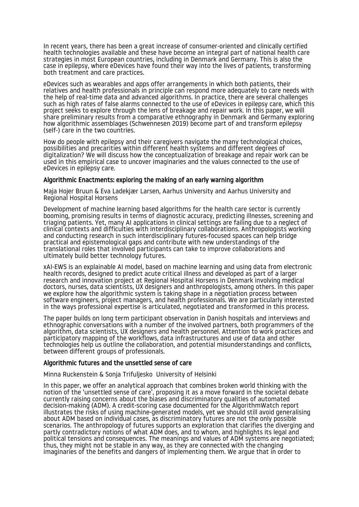In recent years, there has been a great increase of consumer-oriented and clinically certified health technologies available and these have become an integral part of national health care strategies in most European countries, including in Denmark and Germany. This is also the case in epilepsy, where eDevices have found their way into the lives of patients, transforming both treatment and care practices.

eDevices such as wearables and apps offer arrangements in which both patients, their relatives and health professionals in principle can respond more adequately to care needs with the help of real-time data and advanced algorithms. In practice, there are several challenges such as high rates of false alarms connected to the use of eDevices in epilepsy care, which this project seeks to explore through the lens of breakage and repair work. In this paper, we will share preliminary results from a comparative ethnography in Denmark and Germany exploring how algorithmic assemblages (Schwennesen 2019) become part of and transform epilepsy (self-) care in the two countries.

How do people with epilepsy and their caregivers navigate the many technological choices, possibilities and precarities within different health systems and different degrees of digitalization? We will discuss how the conceptualization of breakage and repair work can be used in this empirical case to uncover imaginaries and the values connected to the use of eDevices in epilepsy care.

#### Algorithmic Enactments: exploring the making of an early warning algorithm

Maja Hojer Bruun & Eva Ladekjær Larsen, Aarhus University and Aarhus University and Regional Hospital Horsens

Development of machine learning based algorithms for the health care sector is currently booming, promising results in terms of diagnostic accuracy, predicting illnesses, screening and triaging patients. Yet, many AI applications in clinical settings are failing due to a neglect of clinical contexts and difficulties with interdisciplinary collaborations. Anthropologists working and conducting research in such interdisciplinary futures-focused spaces can help bridge practical and epistemological gaps and contribute with new understandings of the translational roles that involved participants can take to improve collaborations and ultimately build better technology futures.

xAI-EWS is an explainable AI model, based on machine learning and using data from electronic health records, designed to predict acute critical illness and developed as part of a larger research and innovation project at Regional Hospital Horsens in Denmark involving medical doctors, nurses, data scientists, UX designers and anthropologists, among others. In this paper we explore how the algorithmic system is taking shape in a negotiation process between software engineers, project managers, and health professionals. We are particularly interested in the ways professional expertise is articulated, negotiated and transformed in this process.

The paper builds on long term participant observation in Danish hospitals and interviews and ethnographic conversations with a number of the involved partners, both programmers of the algorithm, data scientists, UX designers and health personnel. Attention to work practices and participatory mapping of the workflows, data infrastructures and use of data and other technologies help us outline the collaboration, and potential misunderstandings and conflicts, between different groups of professionals.

#### Algorithmic futures and the unsettled sense of care

Minna Ruckenstein & Sonja Trifuljesko University of Helsinki

In this paper, we offer an analytical approach that combines broken world thinking with the notion of the 'unsettled sense of care', proposing it as a move forward in the societal debate currently raising concerns about the biases and discriminatory qualities of automated decision-making (ADM). A credit-scoring case documented for the AlgorithmWatch report illustrates the risks of using machine-generated models, yet we should still avoid generalising about ADM based on individual cases, as discriminatory futures are not the only possible scenarios. The anthropology of futures supports an exploration that clarifies the diverging and partly contradictory notions of what ADM does, and to whom, and highlights its legal and political tensions and consequences. The meanings and values of ADM systems are negotiated; thus, they might not be stable in any way, as they are connected with the changing imaginaries of the benefits and dangers of implementing them. We argue that in order to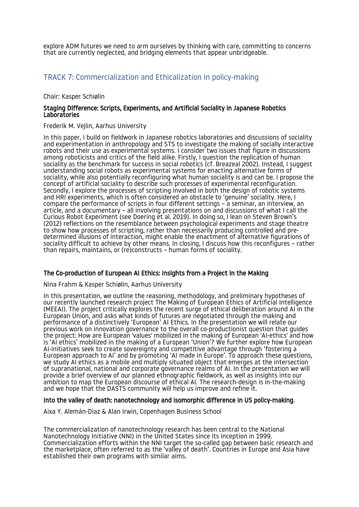explore ADM futures we need to arm ourselves by thinking with care, committing to concerns that are currently neglected, and bridging elements that appear unbridgeable.

# <span id="page-15-0"></span>TRACK 7: Commercialization and Ethicalization in policy-making

Chair: Kasper Schiølin

#### Staging Difference: Scripts, Experiments, and Artificial Sociality in Japanese Robotics **Laboratories**

Frederik M. Vejlin, Aarhus University

In this paper, I build on fieldwork in Japanese robotics laboratories and discussions of sociality and experimentation in anthropology and STS to investigate the making of socially interactive robots and their use as experimental systems. I consider two issues that figure in discussions among roboticists and critics of the field alike. Firstly, I question the replication of human sociality as the benchmark for success in social robotics (cf. Breazeal 2002). Instead, I suggest understanding social robots as experimental systems for enacting alternative forms of sociality, while also potentially reconfiguring what human sociality is and can be. I propose the concept of artificial sociality to describe such processes of experimental reconfiguration. Secondly, I explore the processes of scripting involved in both the design of robotic systems and HRI experiments, which is often considered an obstacle to 'genuine' sociality. Here, I compare the performance of scripts in four different settings – a seminar, an interview, an article, and a documentary – all involving presentations on and discussions of what I call the Curious Robot Experiment (see Doering et al. 2019). In doing so, I lean on Steven Brown's (2012) reflections on the resemblance between psychological experiments and stage theatre to show how processes of scripting, rather than necessarily producing controlled and predetermined illusions of interaction, might enable the enactment of alternative figurations of sociality difficult to achieve by other means. In closing, I discuss how this reconfigures – rather than repairs, maintains, or (re)constructs – human forms of sociality.

#### The Co-production of European AI Ethics: Insights from a Project in the Making

Nina Frahm & Kasper Schiølin, Aarhus University

In this presentation, we outline the reasoning, methodology, and preliminary hypotheses of our recently launched research project The Making of European Ethics of Artificial Intelligence (MEEAI). The project critically explores the recent surge of ethical deliberation around AI in the European Union, and asks what kinds of futures are negotiated through the making and performance of a distinctively 'European' AI Ethics. In the presentation we will relate our previous work on innovation governance to the overall co-productionist question that guides the project: How are European 'values' mobilized in the making of European 'AI-ethics' and how is 'AI ethics' mobilized in the making of a European 'Union'? We further explore how European AI-initiatives seek to create sovereignty and competitive advantage through 'fostering a European approach to AI' and by promoting 'AI made in Europe'. To approach these questions, we study AI ethics as a mobile and multiply situated object that emerges at the intersection of supranational, national and corporate governance realms of AI. In the presentation we will provide a brief overview of our planned ethnographic fieldwork, as well as insights into our ambition to map the European discourse of ethical AI. The research-design is in-the-making and we hope that the DASTS community will help us improve and refine it.

#### Into the valley of death: nanotechnology and isomorphic difference in US policy-making.

Aixa Y. Alemán-Díaz & Alan Irwin, Copenhagen Business School

The commercialization of nanotechnology research has been central to the National Nanotechnology Initiative (NNI) in the United States since its inception in 1999. Commercialization efforts within the NNI target the so-called gap between basic research and the marketplace, often referred to as the 'valley of death'. Countries in Europe and Asia have established their own programs with similar aims.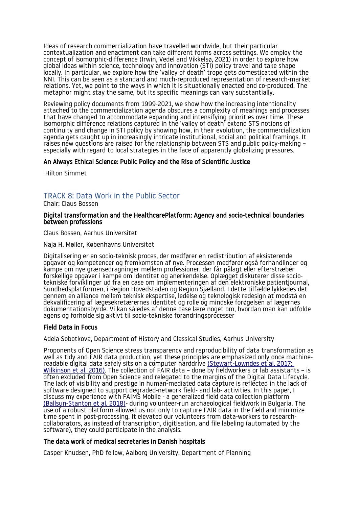Ideas of research commercialization have travelled worldwide, but their particular contextualization and enactment can take different forms across settings. We employ the concept of isomorphic-difference (Irwin, Vedel and Vikkelsø, 2021) in order to explore how global ideas within science, technology and innovation (STI) policy travel and take shape locally. In particular, we explore how the 'valley of death' trope gets domesticated within the NNI. This can be seen as a standard and much-reproduced representation of research-market relations. Yet, we point to the ways in which it is situationally enacted and co-produced. The metaphor might stay the same, but its specific meanings can vary substantially.

Reviewing policy documents from 1999-2021, we show how the increasing intentionality attached to the commercialization agenda obscures a complexity of meanings and processes that have changed to accommodate expanding and intensifying priorities over time. These isomorphic difference relations captured in the 'valley of death' extend STS notions of continuity and change in STI policy by showing how, in their evolution, the commercialization agenda gets caught up in increasingly intricate institutional, social and political framings. It raises new questions are raised for the relationship between STS and public policy-making – especially with regard to local strategies in the face of apparently globalizing pressures.

#### An Always Ethical Science: Public Policy and the Rise of Scientific Justice

Hilton Simmet

# <span id="page-16-0"></span>TRACK 8: Data Work in the Public Sector

Chair: Claus Bossen

#### Digital transformation and the HealthcarePlatform: Agency and socio-technical boundaries between professions

Claus Bossen, Aarhus Universitet

Naja H. Møller, Københavns Universitet

Digitalisering er en socio-teknisk proces, der medfører en redistribution af eksisterende opgaver og kompetencer og fremkomsten af nye. Processen medfører også forhandlinger og kampe om nye grænsedragninger mellem professioner, der får pålagt eller efterstræber forskellige opgaver i kampe om identitet og anerkendelse. Oplægget diskuterer disse sociotekniske forviklinger ud fra en case om implementeringen af den elektroniske patientjournal, Sundhedsplatformen, i Region Hovedstaden og Region Sjælland. I dette tilfælde lykkedes det gennem en alliance mellem teknisk ekspertise, ledelse og teknologisk redesign at modstå en dekvalificering af lægesekretærernes identitet og rolle og mindske forøgelsen af lægernes dokumentationsbyrde. Vi kan således af denne case lære noget om, hvordan man kan udfolde agens og forholde sig aktivt til socio-tekniske forandringsprocesser

#### Field Data in Focus

Adela Sobotkova, Department of History and Classical Studies, Aarhus University

Proponents of Open Science stress transparency and reproducibility of data transformation as well as tidy and FAIR data production, yet these principles are emphasized only once machinereadable digital data safely sits on a computer harddrive (Stewart-Lowndes et al. 2017; [Wilkinson et al. 2016\)](https://paperpile.com/c/CAXa6V/Mw2t+GcpJ). The collection of FAIR data – done by fieldworkers or lab assistants – is often excluded from Open Science and relegated to the margins of the Digital Data Lifecycle. The lack of visibility and prestige in human-mediated data capture is reflected in the lack of software designed to support degraded-network field- and lab- activities. In this paper, I discuss my experience with FAIMS Mobile - a generalized field data collection platform [\(Ballsun-Stanton et al. 2018\)](https://paperpile.com/c/CAXa6V/JS8Y)- during volunteer-run archaeological fieldwork in Bulgaria. The use of a robust platform allowed us not only to capture FAIR data in the field and minimize time spent in post-processing. It elevated our volunteers from data-workers to researchcollaborators, as instead of transcription, digitisation, and file labeling (automated by the software), they could participate in the analysis.

# The data work of medical secretaries in Danish hospitals

Casper Knudsen, PhD fellow, Aalborg University, Department of Planning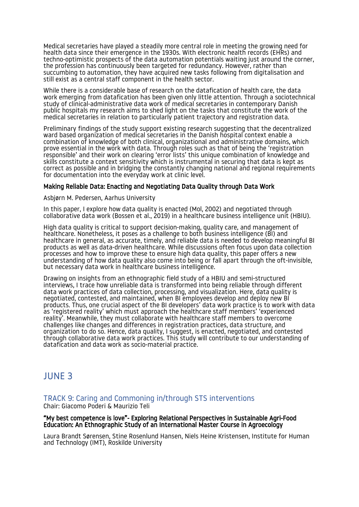Medical secretaries have played a steadily more central role in meeting the growing need for health data since their emergence in the 1930s. With electronic health records (EHRs) and techno-optimistic prospects of the data automation potentials waiting just around the corner, the profession has continuously been targeted for redundancy. However, rather than succumbing to automation, they have acquired new tasks following from digitalisation and still exist as a central staff component in the health sector.

While there is a considerable base of research on the datafication of health care, the data work emerging from datafication has been given only little attention. Through a sociotechnical study of clinical-administrative data work of medical secretaries in contemporary Danish public hospitals my research aims to shed light on the tasks that constitute the work of the medical secretaries in relation to particularly patient trajectory and registration data.

Preliminary findings of the study support existing research suggesting that the decentralized ward based organization of medical secretaries in the Danish hospital context enable a combination of knowledge of both clinical, organizational and administrative domains, which prove essential in the work with data. Through roles such as that of being the 'registration responsible' and their work on clearing 'error lists' this unique combination of knowledge and skills constitute a context sensitivity which is instrumental in securing that data is kept as correct as possible and in bridging the constantly changing national and regional requirements for documentation into the everyday work at clinic level.

#### Making Reliable Data: Enacting and Negotiating Data Quality through Data Work

Asbjørn M. Pedersen, Aarhus University

In this paper, I explore how data quality is enacted (Mol, 2002) and negotiated through collaborative data work (Bossen et al., 2019) in a healthcare business intelligence unit (HBIU).

High data quality is critical to support decision-making, quality care, and management of healthcare. Nonetheless, it poses as a challenge to both business intelligence (BI) and healthcare in general, as accurate, timely, and reliable data is needed to develop meaningful BI products as well as data-driven healthcare. While discussions often focus upon data collection processes and how to improve these to ensure high data quality, this paper offers a new understanding of how data quality also come into being or fall apart through the oft-invisible, but necessary data work in healthcare business intelligence.

Drawing on insights from an ethnographic field study of a HBIU and semi-structured interviews, I trace how unreliable data is transformed into being reliable through different data work practices of data collection, processing, and visualization. Here, data quality is negotiated, contested, and maintained, when BI employees develop and deploy new BI products. Thus, one crucial aspect of the BI developers' data work practice is to work with data as 'registered reality' which must approach the healthcare staff members' 'experienced reality'. Meanwhile, they must collaborate with healthcare staff members to overcome challenges like changes and differences in registration practices, data structure, and organization to do so. Hence, data quality, I suggest, is enacted, negotiated, and contested through collaborative data work practices. This study will contribute to our understanding of datafication and data work as socio-material practice.

# <span id="page-17-1"></span>JUNE 3

<span id="page-17-0"></span>TRACK 9: Caring and Commoning in/through STS interventions

Chair: Giacomo Poderi & Maurizio Teli

#### "My best competence is love"- Exploring Relational Perspectives in Sustainable Agri-Food Education: An Ethnographic Study of an International Master Course in Agroecology

Laura Brandt Sørensen, Stine Rosenlund Hansen, Niels Heine Kristensen, Institute for Human and Technology (IMT), Roskilde University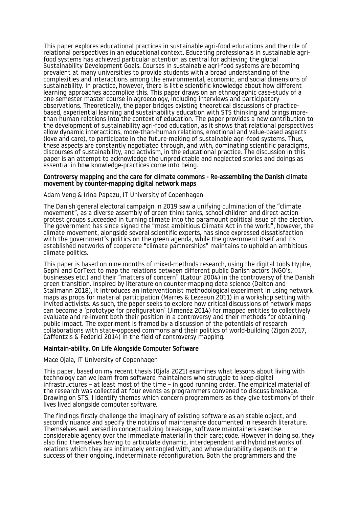This paper explores educational practices in sustainable agri-food educations and the role of relational perspectives in an educational context. Educating professionals in sustainable agrifood systems has achieved particular attention as central for achieving the global Sustainability Development Goals. Courses in sustainable agri-food systems are becoming prevalent at many universities to provide students with a broad understanding of the complexities and interactions among the environmental, economic, and social dimensions of sustainability. In practice, however, there is little scientific knowledge about how different learning approaches accomplice this. This paper draws on an ethnographic case-study of a one-semester master course in agroecology, including interviews and participatory observations. Theoretically, the paper bridges existing theoretical discussions of practicebased, experiential learning and sustainability education with STS thinking and brings morethan-human relations into the context of education. The paper provides a new contribution to the development of sustainability agri-food education, as it shows that relational perspectives allow dynamic interactions, more-than-human relations, emotional and value-based aspects (love and care), to participate in the future-making of sustainable agri-food systems. Thus, these aspects are constantly negotiated through, and with, dominating scientific paradigms, discourses of sustainability, and activism, in the educational practice. The discussion in this paper is an attempt to acknowledge the unpredictable and neglected stories and doings as essential in how knowledge-practices come into being.

#### Controversy mapping and the care for climate commons - Re-assembling the Danish climate movement by counter-mapping digital network maps

#### Adam Veng & Irina Papazu, IT University of Copenhagen

The Danish general electoral campaign in 2019 saw a unifying culmination of the "climate movement", as a diverse assembly of green think tanks, school children and direct-action protest groups succeeded in turning climate into the paramount political issue of the election. The government has since signed the "most ambitious Climate Act in the world", however, the climate movement, alongside several scientific experts, has since expressed dissatisfaction with the government's politics on the green agenda, while the government itself and its established networks of cooperate "climate partnerships" maintains to uphold an ambitious climate politics.

This paper is based on nine months of mixed-methods research, using the digital tools Hyphe, Gephi and CorText to map the relations between different public Danish actors (NGO's, businesses etc.) and their "matters of concern" (Latour 2004) in the controversy of the Danish green transition. Inspired by literature on counter-mapping data science (Dalton and Stallmann 2018), it introduces an interventionist methodological experiment in using network maps as props for material participation (Marres & Lezeaun 2011) in a workshop setting with invited activists. As such, the paper seeks to explore how critical discussions of network maps can become a 'prototype for prefiguration' (Jimenéz 2014) for mapped entities to collectively evaluate and re-invent both their position in a controversy and their methods for obtaining public impact. The experiment is framed by a discussion of the potentials of research collaborations with state-opposed commons and their politics of world-building (Zigon 2017, Caffentzis & Federici 2014) in the field of controversy mapping.

#### Maintain-ability. On Life Alongside Computer Software

#### Mace Ojala, IT University of Copenhagen

This paper, based on my recent thesis (Ojala 2021) examines what lessons about living with technology can we learn from software maintainers who struggle to keep digital infrastructures – at least most of the time – in good running order. The empirical material of the research was collected at four events as programmers convened to discuss breakage. Drawing on STS, I identify themes which concern programmers as they give testimony of their lives lived alongside computer software.

The findings firstly challenge the imaginary of existing software as an stable object, and secondly nuance and specify the notions of maintenance documented in research literature. Themselves well versed in conceptualizing breakage, software maintainers exercise considerable agency over the immediate material in their care; code. However in doing so, they also find themselves having to articulate dynamic, interdependent and hybrid networks of relations which they are intimately entangled with, and whose durability depends on the success of their ongoing, indeterminate reconfiguration. Both the programmers and the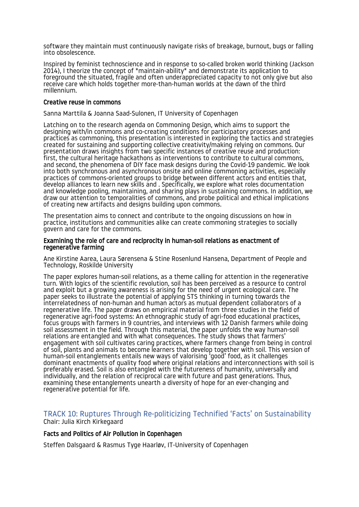software they maintain must continuously navigate risks of breakage, burnout, bugs or falling into obsolescence.

Inspired by feminist technoscience and in response to so-called broken world thinking (Jackson 2014), I theorize the concept of \*maintain-ability\* and demonstrate its application to foreground the situated, fragile and often underappreciated capacity to not only give but also receive care which holds together more-than-human worlds at the dawn of the third millennium.

#### Creative reuse in commons

Sanna Marttila & Joanna Saad-Sulonen, IT University of Copenhagen

Latching on to the research agenda on Commoning Design, which aims to support the designing with/in commons and co-creating conditions for participatory processes and practices as commoning, this presentation is interested in exploring the tactics and strategies created for sustaining and supporting collective creativity/making relying on commons. Our presentation draws insights from two specific instances of creative reuse and production: first, the cultural heritage hackathons as interventions to contribute to cultural commons, and second, the phenomena of DIY face mask designs during the Covid-19 pandemic. We look into both synchronous and asynchronous onsite and online commoning activities, especially practices of commons-oriented groups to bridge between different actors and entities that, develop alliances to learn new skills and . Specifically, we explore what roles documentation and knowledge pooling, maintaining, and sharing plays in sustaining commons. In addition, we draw our attention to temporalities of commons, and probe political and ethical implications of creating new artifacts and designs building upon commons.

The presentation aims to connect and contribute to the ongoing discussions on how in practice, institutions and communities alike can create commoning strategies to socially govern and care for the commons.

#### Examining the role of care and reciprocity in human-soil relations as enactment of regenerative farming

Ane Kirstine Aarea, Laura Sørensena & Stine Rosenlund Hansena, Department of People and Technology, Roskilde University

The paper explores human-soil relations, as a theme calling for attention in the regenerative turn. With logics of the scientific revolution, soil has been perceived as a resource to control and exploit but a growing awareness is arising for the need of urgent ecological care. The paper seeks to illustrate the potential of applying STS thinking in turning towards the interrelatedness of non-human and human actors as mutual dependent collaborators of a regenerative life. The paper draws on empirical material from three studies in the field of regenerative agri-food systems: An ethnographic study of agri-food educational practices, focus groups with farmers in 9 countries, and interviews with 12 Danish farmers while doing soil assessment in the field. Through this material, the paper unfolds the way human-soil relations are entangled and with what consequences. The study shows that farmers' engagement with soil cultivates caring practices, where farmers change from being in control of soil, plants and animals to become learners that develop together with soil. This version of human-soil entanglements entails new ways of valorising 'good' food, as it challenges dominant enactments of quality food where original relations and interconnections with soil is preferably erased. Soil is also entangled with the futureness of humanity, universally and individually, and the relation of reciprocal care with future and past generations. Thus, examining these entanglements unearth a diversity of hope for an ever-changing and regenerative potential for life.

# <span id="page-19-0"></span>TRACK 10: Ruptures Through Re-politicizing Technified 'Facts' on Sustainability Chair: Julia Kirch Kirkegaard

# Facts and Politics of Air Pollution in Copenhagen

Steffen Dalsgaard & Rasmus Tyge Haarløv, IT-University of Copenhagen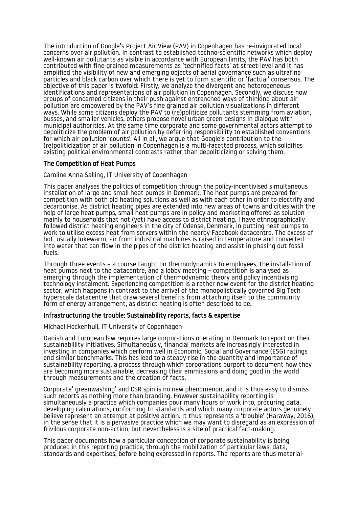The introduction of Google's Project Air View (PAV) in Copenhagen has re-invigorated local concerns over air pollution. In contrast to established techno-scientific networks which deploy well-known air pollutants as visible in accordance with European limits, the PAV has both contributed with fine-grained measurements as 'technified facts' at street-level and it has amplified the visibility of new and emerging objects of aerial governance such as ultrafine particles and black carbon over which there is yet to form scientific or 'factual' consensus. The objective of this paper is twofold: Firstly, we analyze the divergent and heterogeneous identifications and representations of air pollution in Copenhagen. Secondly, we discuss how groups of concerned citizens in their push against entrenched ways of thinking about air pollution are empowered by the PAV's fine grained air pollution visualizations in different ways. While some citizens deploy the PAV to (re)politicize pollutants stemming from aviation, busses, and smaller vehicles, others propose novel urban green designs in dialogue with municipal authorities. At the same time corporate and some governmental actors attempt to depoliticize the problem of air pollution by deferring responsibility to established conventions for which air pollution 'counts'. All in all, we argue that Google's contribution to the (re)politicization of air pollution in Copenhagen is a multi-facetted process, which solidifies existing political environmental contrasts rather than depoliticizing or solving them.

# The Competition of Heat Pumps

Caroline Anna Salling, IT University of Copenhagen

This paper analyses the politics of competition through the policy-incentivised simultaneous installation of large and small heat pumps in Denmark. The heat pumps are prepared for competition with both old heating solutions as well as with each other in order to electrify and decarbonise. As district heating pipes are extended into new areas of towns and cities with the help of large heat pumps, small heat pumps are in policy and marketing offered as solution mainly to households that not (yet) have access to district heating. I have ethnographically followed district heating engineers in the city of Odense, Denmark, in putting heat pumps to work to utilise excess heat from servers within the nearby Facebook datacentre. The excess of hot, usually lukewarm, air from industrial machines is raised in temperature and converted into water that can flow in the pipes of the district heating and assist in phasing out fossil fuels.

Through three events – a course taught on thermodynamics to employees, the installation of heat pumps next to the datacentre, and a lobby meeting - competition is analysed as emerging through the implementation of thermodynamic theory and policy incentivising technology instalment. Experiencing competition is a rather new event for the district heating sector, which happens in contrast to the arrival of the monopolistically governed Big Tech hyperscale datacentre that draw several benefits from attaching itself to the community form of energy arrangement, as district heating is often described to be.

#### Infrastructuring the trouble: Sustainability reports, facts & expertise

Michael Hockenhull, IT University of Copenhagen

Danish and European law requires large corporations operating in Denmark to report on their sustainabillity initiatives. Simultaneously, financial markets are increasingly interested in investing in companies which perform well in Economic, Social and Governance (ESG) ratings and similar benchmarks. This has lead to a steady rise in the quantity and importance of sustainability reporting, a process through which corporations purport to document how they are becoming more sustainable, decreasing their emmissions and doing good in the world through measurements and the creation of facts.

Corporate' greenwashing' and CSR spin is no new phenomenon, and it is thus easy to dismiss such reports as nothing more than branding. However sustainability reporting is simultaneously a practice which companies pour many hours of work into, procuring data, developing calculations, conforming to standards and which many corporate actors genuinely believe represent an attempt at positive action. It thus represents a 'trouble' (Haraway, 2016), in the sense that it is a pervasive practice which we may want to disregard as an expression of frivilous corporate non-action, but nevertheless is a site of practical fact-making.

This paper documents how a particular conception of corporate sustainability is being produced in this reporting practice, through the mobilization of particular laws, data, standards and expertises, before being expressed in reports. The reports are thus material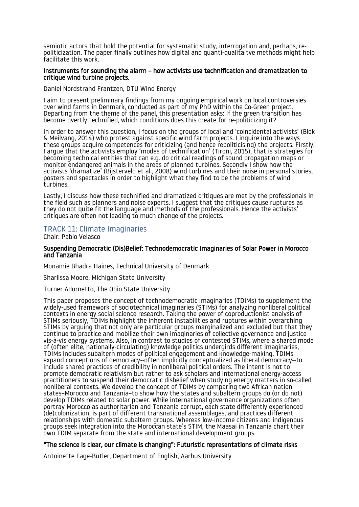semiotic actors that hold the potential for systematic study, interrogation and, perhaps, repoliticization. The paper finally outlines how digital and quanti-qualitaitve methods might help facilitate this work.

#### Instruments for sounding the alarm – how activists use technification and dramatization to critique wind turbine projects.

Daniel Nordstrand Frantzen, DTU Wind Energy

I aim to present preliminary findings from my ongoing empirical work on local controversies over wind farms in Denmark, conducted as part of my PhD within the Co-Green project. Departing from the theme of the panel, this presentation asks: If the green transition has become overtly technified, which conditions does this create for re-politicizing it?

In order to answer this question, I focus on the groups of local and 'coincidental activists' (Blok & Meilvang, 2014) who protest against specific wind farm projects. I inquire into the ways these groups acquire competences for criticizing (and hence repoliticising) the projects. Firstly, I argue that the activists employ 'modes of technification' (Tironi, 2015), that is strategies for becoming technical entities that can e.g. do critical readings of sound propagation maps or monitor endangered animals in the areas of planned turbines. Secondly I show how the activists 'dramatize' (Bijsterveld et al., 2008) wind turbines and their noise in personal stories, posters and spectacles in order to highlight what they find to be the problems of wind turbines.

Lastly, I discuss how these technified and dramatized critiques are met by the professionals in the field such as planners and noise experts. I suggest that the critiques cause ruptures as they do not quite fit the language and methods of the professionals. Hence the activists' critiques are often not leading to much change of the projects.

# <span id="page-21-0"></span>TRACK 11: Climate Imaginaries

Chair: Pablo Velasco

#### Suspending Democratic (Dis)Belief: Technodemocratic Imaginaries of Solar Power in Morocco and Tanzania

Monamie Bhadra Haines, Technical University of Denmark

Sharlissa Moore, Michigan State University

Turner Adornetto, The Ohio State University

This paper proposes the concept of technodemocratic imaginaries (TDIMs) to supplement the widely-used framework of sociotechnical imaginaries (STIMs) for analyzing nonliberal political contexts in energy social science research. Taking the power of coproductionist analysis of STIMs seriously, TDIMs highlight the inherent instabilities and ruptures within overarching STIMs by arguing that not only are particular groups marginalized and excluded but that they continue to practice and mobilize their own imaginaries of collective governance and justice vis-à-vis energy systems. Also, in contrast to studies of contested STIMs, where a shared mode of (often elite, nationally-circulating) knowledge politics undergirds different imaginaries, TDIMs includes subaltern modes of political engagement and knowledge-making. TDIMs expand conceptions of democracy--often implicitly conceptualized as liberal democracy--to include shared practices of credibility in nonliberal political orders. The intent is not to promote democratic relativism but rather to ask scholars and international energy-access practitioners to suspend their democratic disbelief when studying energy matters in so-called nonliberal contexts. We develop the concept of TDIMs by comparing two African nationstates–Morocco and Tanzania–to show how the states and subaltern groups do (or do not) develop TDIMs related to solar power. While international governance organizations often portray Morocco as authoritarian and Tanzania corrupt, each state differently experienced (de)colonization, is part of different transnational assemblages, and practices different relationships with domestic subaltern groups. Whereas low-income citizens and indigenous groups seek integration into the Moroccan state's STIM, the Maasai in Tanzania chart their own TDIM separate from the state and international development groups.

#### "The science is clear, our climate is changing": Futuristic representations of climate risks

Antoinette Fage-Butler, Department of English, Aarhus University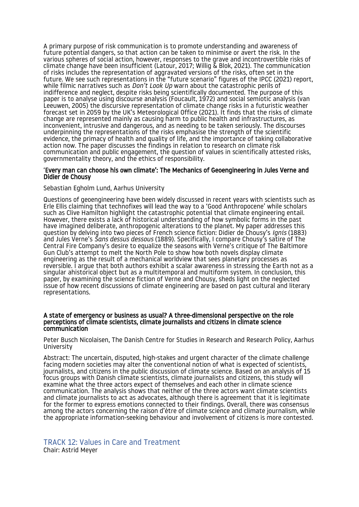A primary purpose of risk communication is to promote understanding and awareness of future potential dangers, so that action can be taken to minimise or avert the risk. In the various spheres of social action, however, responses to the grave and incontrovertible risks of climate change have been insufficient (Latour, 2017; Willig & Blok, 2021). The communication of risks includes the representation of aggravated versions of the risks, often set in the future. We see such representations in the "future scenario" figures of the IPCC (2021) report, while filmic narratives such as *Don't Look Up* warn about the catastrophic perils of indifference and neglect, despite risks being scientifically documented. The purpose of this paper is to analyse using discourse analysis (Foucault, 1972) and social semiotic analysis (van Leeuwen, 2005) the discursive representation of climate change risks in a futuristic weather forecast set in 2059 by the UK's Meteorological Office (2021). It finds that the risks of climate change are represented mainly as causing harm to public health and infrastructures, as inconvenient, intrusive and dangerous, and as needing to be taken seriously. The discourses underpinning the representations of the risks emphasise the strength of the scientific evidence, the primacy of health and quality of life, and the importance of taking collaborative action now. The paper discusses the findings in relation to research on climate risk communication and public engagement, the question of values in scientifically attested risks, governmentality theory, and the ethics of responsibility.

#### 'Every man can choose his own climate': The Mechanics of Geoengineering in Jules Verne and Didier de Chousy

#### Sebastian Egholm Lund, Aarhus University

Questions of geoengineering have been widely discussed in recent years with scientists such as Erle Ellis claiming that technofixes will lead the way to a 'Good Anthropocene' while scholars such as Clive Hamilton highlight the catastrophic potential that climate engineering entail. However, there exists a lack of historical understanding of how symbolic forms in the past have imagined deliberate, anthropogenic alterations to the planet. My paper addresses this question by delving into two pieces of French science fiction: Didier de Chousy's *Ignis* (1883) and Jules Verne's *Sans dessus dessous* (1889). Specifically, I compare Chousy's satire of The Central Fire Company's desire to equalize the seasons with Verne's critique of The Baltimore Gun Club's attempt to melt the North Pole to show how both novels display climate engineering as the result of a mechanical worldview that sees planetary processes as reversible. I argue that both authors exhibit a scalar awareness in stressing the Earth not as a singular ahistorical object but as a multitemporal and multiform system. In conclusion, this paper, by examining the science fiction of Verne and Chousy, sheds light on the neglected issue of how recent discussions of climate engineering are based on past cultural and literary representations.

#### A state of emergency or business as usual? A three-dimensional perspective on the role perceptions of climate scientists, climate journalists and citizens in climate science communication

Peter Busch Nicolaisen, The Danish Centre for Studies in Research and Research Policy, Aarhus University

Abstract: The uncertain, disputed, high-stakes and urgent character of the climate challenge facing modern societies may alter the conventional notion of what is expected of scientists, journalists, and citizens in the public discussion of climate science. Based on an analysis of 15 focus groups with Danish climate scientists, climate journalists and citizens, this study will examine what the three actors expect of themselves and each other in climate science communication. The analysis shows that neither of the three actors want climate scientists and climate journalists to act as advocates, although there is agreement that it is legitimate for the former to express emotions connected to their findings. Overall, there was consensus among the actors concerning the raison d'ètre of climate science and climate journalism, while the appropriate information-seeking behaviour and involvement of citizens is more contested.

<span id="page-22-0"></span>TRACK 12: Values in Care and Treatment Chair: Astrid Meyer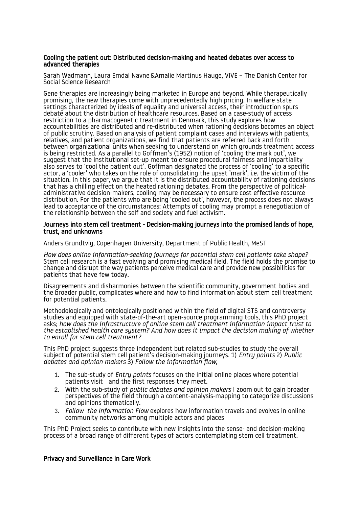#### Cooling the patient out: Distributed decision-making and heated debates over access to advanced therapies

Sarah Wadmann, Laura Emdal Navne &Amalie Martinus Hauge, VIVE – The Danish Center for Social Science Research

Gene therapies are increasingly being marketed in Europe and beyond. While therapeutically promising, the new therapies come with unprecedentedly high pricing. In welfare state settings characterized by ideals of equality and universal access, their introduction spurs debate about the distribution of healthcare resources. Based on a case-study of access restriction to a pharmacogenetic treatment in Denmark, this study explores how accountabilities are distributed and re-distributed when rationing decisions becomes an object of public scrutiny. Based on analysis of patient complaint cases and interviews with patients, relatives, and patient organizations, we find that patients are referred back and forth between organizational units when seeking to understand on which grounds treatment access is being restricted. As a parallel to Goffman's (1952) notion of 'cooling the mark out', we suggest that the institutional set-up meant to ensure procedural fairness and impartiality also serves to 'cool the patient out'. Goffman designated the process of 'cooling' to a specific actor, a 'cooler' who takes on the role of consolidating the upset 'mark', i.e. the victim of the situation. In this paper, we argue that it is the distributed accountability of rationing decisions that has a chilling effect on the heated rationing debates. From the perspective of politicaladministrative decision-makers, cooling may be necessary to ensure cost-effective resource distribution. For the patients who are being 'cooled out', however, the process does not always lead to acceptance of the circumstances: Attempts of cooling may prompt a renegotiation of the relationship between the self and society and fuel activism.

#### Journeys into stem cell treatment - Decision-making journeys into the promised lands of hope, trust, and unknowns

Anders Grundtvig, Copenhagen University, Department of Public Health, MeST

*How does online information-seeking journeys for potential stem cell patients take shape?*  Stem cell research is a fast evolving and promising medical field. The field holds the promise to change and disrupt the way patients perceive medical care and provide new possibilities for patients that have few today.

Disagreements and disharmonies between the scientific community, government bodies and the broader public, complicates where and how to find information about stem cell treatment for potential patients.

Methodologically and ontologically positioned within the field of digital STS and controversy studies and equipped with state-of-the-art open-source programming tools, this PhD project asks; *how does the infrastructure of online stem cell treatment information impact trust to the established health care system? And how does it impact the decision making of whether to enroll for stem cell treatment?* 

This PhD project suggests three independent but related sub-studies to study the overall subject of potential stem cell patient's decision-making journeys. 1) *Entry points* 2) *Public debates and opinion makers* 3) *Follow the information flow,*

- 1. The sub-study of *Entry points* focuses on the initial online places where potential patients visit and the first responses they meet.
- 2. With the sub-study of *public debates and opinion makers* I zoom out to gain broader perspectives of the field through a content-analysis-mapping to categorize discussions and opinions thematically.
- 3. *Follow the Information Flow* explores how information travels and evolves in online community networks among multiple actors and places

This PhD Project seeks to contribute with new insights into the sense- and decision-making process of a broad range of different types of actors contemplating stem cell treatment.

#### Privacy and Surveillance in Care Work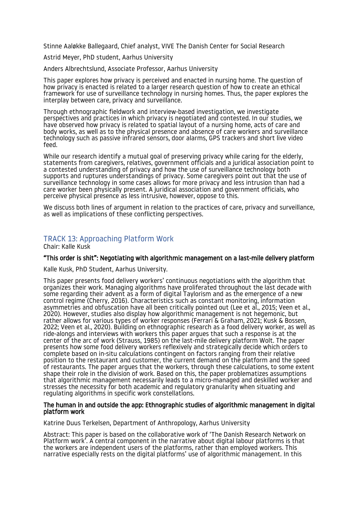Stinne Aaløkke Ballegaard, Chief analyst, VIVE The Danish Center for Social Research

Astrid Meyer, PhD student, Aarhus University

Anders Albrechtslund, Associate Professor, Aarhus University

This paper explores how privacy is perceived and enacted in nursing home. The question of how privacy is enacted is related to a larger research question of how to create an ethical framework for use of surveillance technology in nursing homes. Thus, the paper explores the interplay between care, privacy and surveillance.

Through ethnographic fieldwork and interview-based investigation, we investigate perspectives and practices in which privacy is negotiated and contested. In our studies, we have observed how privacy is related to spatial layout of a nursing home, acts of care and body works, as well as to the physical presence and absence of care workers and surveillance technology such as passive infrared sensors, door alarms, GPS trackers and short live video feed.

While our research identify a mutual goal of preserving privacy while caring for the elderly, statements from caregivers, relatives, government officials and a juridical association point to a contested understanding of privacy and how the use of surveillance technology both supports and ruptures understandings of privacy. Some caregivers point out that the use of surveillance technology in some cases allows for more privacy and less intrusion than had a care worker been physically present. A juridical association and government officials, who perceive physical presence as less intrusive, however, oppose to this.

We discuss both lines of argument in relation to the practices of care, privacy and surveillance, as well as implications of these conflicting perspectives.

# <span id="page-24-0"></span>TRACK 13: Approaching Platform Work

Chair: Kalle Kusk

# "This order is shit": Negotiating with algorithmic management on a last-mile delivery platform

Kalle Kusk, PhD Student, Aarhus University.

This paper presents food delivery workers' continuous negotiations with the algorithm that organizes their work. Managing algorithms have proliferated throughout the last decade with some regarding their advent as a form of digital Taylorism and as the emergence of a new control regime (Cherry, 2016). Characteristics such as constant monitoring, information asymmetries and obfuscation have all been critically pointed out (Lee et al., 2015; Veen et al., 2020). However, studies also display how algorithmic management is not hegemonic, but rather allows for various types of worker responses (Ferrari & Graham, 2021; Kusk & Bossen, 2022; Veen et al., 2020). Building on ethnographic research as a food delivery worker, as well as ride-alongs and interviews with workers this paper argues that such a response is at the center of the arc of work (Strauss, 1985) on the last-mile delivery platform Wolt. The paper presents how some food delivery workers reflexively and strategically decide which orders to complete based on in-situ calculations contingent on factors ranging from their relative position to the restaurant and customer, the current demand on the platform and the speed of restaurants. The paper argues that the workers, through these calculations, to some extent shape their role in the division of work. Based on this, the paper problematizes assumptions that algorithmic management necessarily leads to a micro-managed and deskilled worker and stresses the necessity for both academic and regulatory granularity when situating and regulating algorithms in specific work constellations.

#### The human in and outside the app: Ethnographic studies of algorithmic management in digital platform work

Katrine Duus Terkelsen, Department of Anthropology, Aarhus University

Abstract: This paper is based on the collaborative work of 'The Danish Research Network on Platform work'. A central component in the narrative about digital labour platforms is that the workers are independent users of the platforms, rather than employed workers. This narrative especially rests on the digital platforms' use of algorithmic management. In this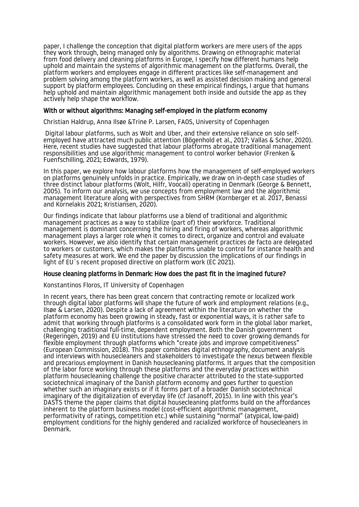paper, I challenge the conception that digital platform workers are mere users of the apps they work through, being managed only by algorithms. Drawing on ethnographic material from food delivery and cleaning platforms in Europe, I specify how different humans help uphold and maintain the systems of algorithmic management on the platforms. Overall, the platform workers and employees engage in different practices like self-management and problem solving among the platform workers, as well as assisted decision making and general support by platform employees. Concluding on these empirical findings, I argue that humans help uphold and maintain algorithmic management both inside and outside the app as they actively help shape the workflow.

#### With or without algorithms: Managing self-employed in the platform economy

Christian Haldrup, Anna Ilsøe &Trine P. Larsen, FAOS, University of Copenhagen

 Digital labour platforms, such as Wolt and Uber, and their extensive reliance on solo selfemployed have attracted much public attention (Bögenhold et al., 2017; Vallas & Schor, 2020). Here, recent studies have suggested that labour platforms abrogate traditional management responsibilities and use algorithmic management to control worker behavior (Frenken & Fuenfschilling, 2021; Edwards, 1979).

In this paper, we explore how labour platforms how the management of self-employed workers on platforms genuinely unfolds in practice. Empirically, we draw on in-depth case studies of three distinct labour platforms (Wolt, Hilfr, Voocali) operating in Denmark (George & Bennett, 2005). To inform our analysis, we use concepts from employment law and the algorithmic management literature along with perspectives from SHRM (Kornberger et al. 2017, Benassi and Kornelakis 2021; Kristiansen, 2020).

Our findings indicate that labour platforms use a blend of traditional and algorithmic management practices as a way to stabilize (part of) their workforce. Traditional management is dominant concerning the hiring and firing of workers, whereas algorithmic management plays a larger role when it comes to direct, organize and control and evaluate workers. However, we also identify that certain management practices de facto are delegated to workers or customers, which makes the platforms unable to control for instance health and safety measures at work. We end the paper by discussion the implications of our findings in light of EU´s recent proposed directive on platform work (EC 2021).

#### House cleaning platforms in Denmark: How does the past fit in the imagined future?

Konstantinos Floros, IT University of Copenhagen

In recent years, there has been great concern that contracting remote or localized work through digital labor platforms will shape the future of work and employment relations (e.g., Ilsøe & Larsen, 2020). Despite a lack of agreement within the literature on whether the platform economy has been growing in steady, fast or exponential ways, it is rather safe to admit that working through platforms is a consolidated work form in the global labor market, challenging traditional full-time, dependent employment. Both the Danish government (Regeringen, 2019) and EU institutions have stressed the need to cover growing demands for flexible employment through platforms which "create jobs and improve competitiveness" (European Commission, 2018). This paper combines digital ethnography, document analysis and interviews with housecleaners and stakeholders to investigate the nexus between flexible and precarious employment in Danish housecleaning platforms. It argues that the composition of the labor force working through these platforms and the everyday practices within platform housecleaning challenge the positive character attributed to the state-supported sociotechnical imaginary of the Danish platform economy and goes further to question whether such an imaginary exists or if it forms part of a broader Danish sociotechnical imaginary of the digitalization of everyday life (cf Jasanoff, 2015). In line with this year's DASTS theme the paper claims that digital housecleaning platforms build on the affordances inherent to the platform business model (cost-efficient algorithmic management, performativity of ratings, competition etc.) while sustaining "normal" (atypical, low-paid) employment conditions for the highly gendered and racialized workforce of housecleaners in Denmark.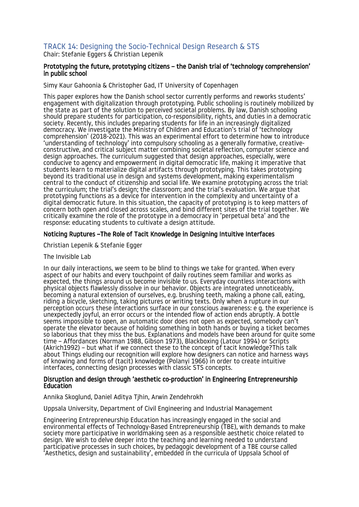# <span id="page-26-0"></span>TRACK 14: Designing the Socio-Technical Design Research & STS

Chair: Stefanie Eggers & Christian Lepenik

#### Prototyping the future, prototyping citizens – the Danish trial of 'technology comprehension' in public school

Simy Kaur Gahoonia & Christopher Gad, IT University of Copenhagen

This paper explores how the Danish school sector currently performs and reworks students' engagement with digitalization through prototyping. Public schooling is routinely mobilized by the state as part of the solution to perceived societal problems. By law, Danish schooling should prepare students for participation, co-responsibility, rights, and duties in a democratic society. Recently, this includes preparing students for life in an increasingly digitalized democracy. We investigate the Ministry of Children and Education's trial of 'technology comprehension' (2018-2021). This was an experimental effort to determine how to introduce 'understanding of technology' into compulsory schooling as a generally formative, creativeconstructive, and critical subject matter combining societal reflection, computer science and design approaches. The curriculum suggested that design approaches, especially, were conducive to agency and empowerment in digital democratic life, making it imperative that students learn to materialize digital artifacts through prototyping. This takes prototyping beyond its traditional use in design and systems development, making experimentalism central to the conduct of citizenship and social life. We examine prototyping across the trial: the curriculum; the trial's design; the classroom; and the trial's evaluation. We argue that prototyping functions as a device for intervention in the complexity and uncertainty of a digital democratic future. In this situation, the capacity of prototyping is to keep matters of concern both open and closed across scales, and bind different sites of the trial together. We critically examine the role of the prototype in a democracy in 'perpetual beta' and the response: educating students to cultivate a design attitude.

# Noticing Ruptures –The Role of Tacit Knowledge in Designing Intuitive Interfaces

Christian Lepenik & Stefanie Egger

#### The Invisible Lab

In our daily interactions, we seem to be blind to things we take for granted. When every aspect of our habits and every touchpoint of daily routines seem familiar and works as expected, the things around us become invisible to us. Everyday countless interactions with physical objects flawlessly dissolve in our behavior. Objects are integrated unnoticeably, becoming a natural extension of ourselves, e.g. brushing teeth, making a phone call, eating, riding a bicycle, sketching, taking pictures or writing texts. Only when a rupture in our perception occurs these interactions surface in our conscious awareness: e g. the experience is unexpectedly joyful, an error occurs or the intended flow of action ends abruptly. A bottle seems impossible to open, an automatic door does not open as expected, somebody can't operate the elevator because of holding something in both hands or buying a ticket becomes so laborious that they miss the bus. Explanations and models have been around for quite some time – Affordances (Norman 1988, Gibson 1973), Blackboxing (Latour 1994) or Scripts (Akrich1992) – but what if we connect these to the concept of tacit knowledge?This talk about Things eluding our recognition will explore how designers can notice and harness ways of knowing and forms of (tacit) knowledge (Polanyi 1966) in order to create intuitive interfaces, connecting design processes with classic STS concepts.

#### Disruption and design through 'aesthetic co-production' in Engineering Entrepreneurship **Education**

# Annika Skoglund, Daniel Aditya Tjhin, Arwin Zendehrokh

Uppsala University, Department of Civil Engineering and Industrial Management

Engineering Entrepreneurship Education has increasingly engaged in the social and environmental effects of Technology-Based Entrepreneurship (TBE), with demands to make society more participative in worldmaking seen as a responsible aesthetic choice related to design. We wish to delve deeper into the teaching and learning needed to understand participative processes in such choices, by pedagogic development of a TBE course called 'Aesthetics, design and sustainability', embedded in the curricula of Uppsala School of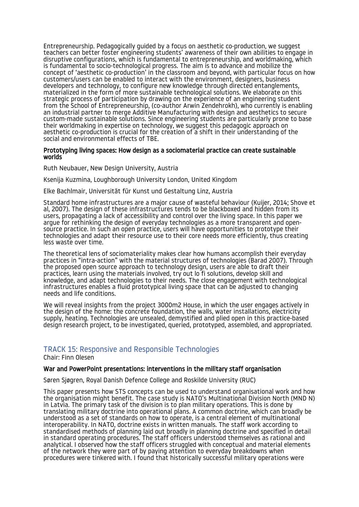Entrepreneurship. Pedagogically guided by a focus on aesthetic co-production, we suggest teachers can better foster engineering students' awareness of their own abilities to engage in disruptive configurations, which is fundamental to entrepreneurship, and worldmaking, which is fundamental to socio-technological progress. The aim is to advance and mobilize the concept of 'aesthetic co-production' in the classroom and beyond, with particular focus on how customers/users can be enabled to interact with the environment, designers, business developers and technology, to configure new knowledge through directed entanglements, materialized in the form of more sustainable technological solutions. We elaborate on this strategic process of participation by drawing on the experience of an engineering student from the School of Entrepreneurship, (co-author Arwin Zendehrokh), who currently is enabling an industrial partner to merge Additive Manufacturing with design and aesthetics to secure custom-made sustainable solutions. Since engineering students are particularly prone to base their worldmaking in expertise on technology, we suggest this pedagogic approach on aesthetic co-production is crucial for the creation of a shift in their understanding of the social and environmental effects of TBE.

#### Prototyping living spaces: How design as a sociomaterial practice can create sustainable worlds

Ruth Neubauer, New Design University, Austria

Ksenija Kuzmina, Loughborough University London, United Kingdom

Elke Bachlmair, Universität für Kunst und Gestaltung Linz, Austria

Standard home infrastructures are a major cause of wasteful behaviour (Kuijer, 2014; Shove et al, 2007). The design of these infrastructures tends to be blackboxed and hidden from its users, propagating a lack of accessibility and control over the living space. In this paper we argue for rethinking the design of everyday technologies as a more transparent and opensource practice. In such an open practice, users will have opportunities to prototype their technologies and adapt their resource use to their core needs more efficiently, thus creating less waste over time.

The theoretical lens of sociomateriality makes clear how humans accomplish their everyday practices in "intra-action" with the material structures of technologies (Barad 2007). Through the proposed open source approach to technology design, users are able to draft their practices, learn using the materials involved, try out lo fi solutions, develop skill and knowledge, and adapt technologies to their needs. The close engagement with technological infrastructures enables a fluid prototypical living space that can be adjusted to changing needs and life conditions.

We will reveal insights from the project 3000m2 House, in which the user engages actively in the design of the home: the concrete foundation, the walls, water installations, electricity supply, heating. Technologies are unsealed, demystified and plied open in this practice-based design research project, to be investigated, queried, prototyped, assembled, and appropriated.

# <span id="page-27-0"></span>TRACK 15: Responsive and Responsible Technologies

Chair: Finn Olesen

#### War and PowerPoint presentations: interventions in the military staff organisation

Søren Sjøgren, Royal Danish Defence College and Roskilde University (RUC)

This paper presents how STS concepts can be used to understand organisational work and how the organisation might benefit. The case study is NATO's Multinational Division North (MND N) in Latvia. The primary task of the division is to plan military operations. This is done by translating military doctrine into operational plans. A common doctrine, which can broadly be understood as a set of standards on how to operate, is a central element of multinational interoperability. In NATO, doctrine exists in written manuals. The staff work according to standardised methods of planning laid out broadly in planning doctrine and specified in detail in standard operating procedures. The staff officers understood themselves as rational and analytical. I observed how the staff officers struggled with conceptual and material elements of the network they were part of by paying attention to everyday breakdowns when procedures were tinkered with. I found that historically successful military operations were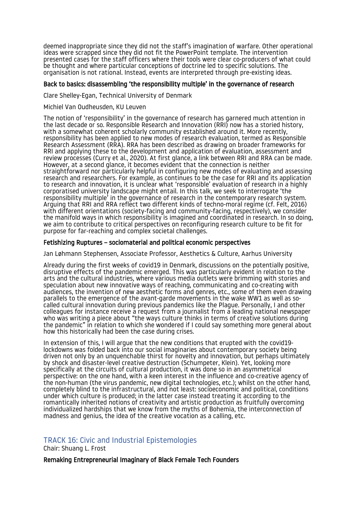deemed inappropriate since they did not the staff's imagination of warfare. Other operational ideas were scrapped since they did not fit the PowerPoint template. The intervention presented cases for the staff officers where their tools were clear co-producers of what could be thought and where particular conceptions of doctrine led to specific solutions. The organisation is not rational. Instead, events are interpreted through pre-existing ideas.

#### Back to basics: disassembling 'the responsibility multiple' in the governance of research

Clare Shelley-Egan, Technical University of Denmark

#### Michiel Van Oudheusden, KU Leuven

The notion of 'responsibility' in the governance of research has garnered much attention in the last decade or so. Responsible Research and Innovation (RRI) now has a storied history, with a somewhat coherent scholarly community established around it. More recently, responsibility has been applied to new modes of research evaluation, termed as Responsible Research Assessment (RRA). RRA has been described as drawing on broader frameworks for RRI and applying these to the development and application of evaluation, assessment and review processes (Curry et al., 2020). At first glance, a link between RRI and RRA can be made. However, at a second glance, it becomes evident that the connection is neither straightforward nor particularly helpful in configuring new modes of evaluating and assessing research and researchers. For example, as continues to be the case for RRI and its application to research and innovation, it is unclear what 'responsible' evaluation of research in a highly corporatised university landscape might entail. In this talk, we seek to interrogate 'the responsibility multiple' in the governance of research in the contemporary research system. Arguing that RRI and RRA reflect two different kinds of techno-moral regime (cf. Felt, 2016) with different orientations (society-facing and community-facing, respectively), we consider the manifold ways in which responsibility is imagined and coordinated in research. In so doing, we aim to contribute to critical perspectives on reconfiguring research culture to be fit for purpose for far-reaching and complex societal challenges.

#### Fetishizing Ruptures – sociomaterial and political economic perspectives

Jan Løhmann Stephensen, Associate Professor, Aesthetics & Culture, Aarhus University

Already during the first weeks of covid19 in Denmark, discussions on the potentially positive, disruptive effects of the pandemic emerged. This was particularly evident in relation to the arts and the cultural industries, where various media outlets were brimming with stories and speculation about new innovative ways of reaching, communicating and co-creating with audiences, the invention of new aesthetic forms and genres, etc., some of them even drawing parallels to the emergence of the avant-garde movements in the wake WW1 as well as socalled cultural innovation during previous pandemics like the Plague. Personally, I and other colleagues for instance receive a request from a journalist from a leading national newspaper who was writing a piece about "the ways culture thinks in terms of creative solutions during the pandemic" in relation to which she wondered if I could say something more general about how this historically had been the case during crises.

In extension of this, I will argue that the new conditions that erupted with the covid19 lockdowns was folded back into our social imaginaries about contemporary society being driven not only by an unquenchable thirst for novelty and innovation, but perhaps ultimately by shock and disaster-level creative destruction (Schumpeter, Klein). Yet, looking more specifically at the circuits of cultural production, it was done so in an asymmetrical perspective: on the one hand, with a keen interest in the influence and co-creative agency of the non-human (the virus pandemic, new digital technologies, etc.); whilst on the other hand, completely blind to the infrastructural, and not least: socioeconomic and political, conditions under which culture is produced; in the latter case instead treating it according to the romantically inherited notions of creativity and artistic production as fruitfully overcoming individualized hardships that we know from the myths of Bohemia, the interconnection of madness and genius, the idea of the creative vocation as a calling, etc.

# <span id="page-28-0"></span>TRACK 16: Civic and Industrial Epistemologies

Chair: Shuang L. Frost

Remaking Entrepreneurial Imaginary of Black Female Tech Founders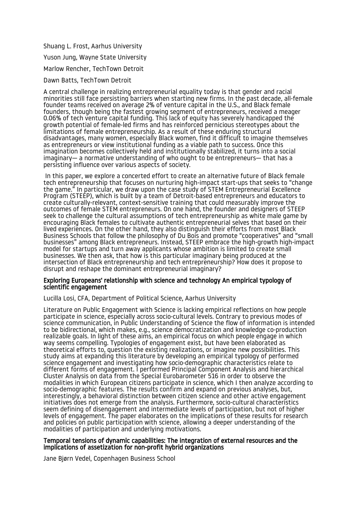Shuang L. Frost, Aarhus University

Yuson Jung, Wayne State University

Marlow Rencher, TechTown Detroit

Dawn Batts, TechTown Detroit

A central challenge in realizing entrepreneurial equality today is that gender and racial minorities still face persisting barriers when starting new firms. In the past decade, all-female founder teams received on average 2% of venture capital in the U.S., and Black female founders, though being the fastest growing segment of entrepreneurs, received a meager 0.06% of tech venture capital funding. This lack of equity has severely handicapped the growth potential of female-led firms and has reinforced pernicious stereotypes about the limitations of female entrepreneurship. As a result of these enduring structural disadvantages, many women, especially Black women, find it difficult to imagine themselves as entrepreneurs or view institutional funding as a viable path to success. Once this imagination becomes collectively held and institutionally stabilized, it turns into a social imaginary— a normative understanding of who ought to be entrepreneurs— that has a persisting influence over various aspects of society.

 In this paper, we explore a concerted effort to create an alternative future of Black female tech entrepreneurship that focuses on nurturing high-impact start-ups that seeks to "change the game." In particular, we draw upon the case study of STEM Entrepreneurial Excellence Program (STEEP), which is built by a team of Detroit-based entrepreneurs and educators to create culturally-relevant, context-sensitive training that could measurably improve the outcomes of female STEM entrepreneurs. On one hand, the founder and designers of STEEP seek to challenge the cultural assumptions of tech entrepreneurship as white male game by encouraging Black females to cultivate authentic entrepreneurial selves that based on their lived experiences. On the other hand, they also distinguish their efforts from most Black Business Schools that follow the philosophy of Du Bois and promote "cooperatives" and "small businesses" among Black entrepreneurs. Instead, STEEP embrace the high-growth high-impact model for startups and turn away applicants whose ambition is limited to create small businesses. We then ask, that how is this particular imaginary being produced at the intersection of Black entrepreneurship and tech entrepreneurship? How does it propose to disrupt and reshape the dominant entrepreneurial imaginary?

#### Exploring Europeans' relationship with science and technology An empirical typology of scientific engagement

Lucilla Losi, CFA, Department of Political Science, Aarhus University

Literature on Public Engagement with Science is lacking empirical reflections on how people participate in science, especially across socio-cultural levels. Contrary to previous modes of science communication, in Public Understanding of Science the flow of information is intended to be bidirectional, which makes, e.g., science democratization and knowledge co-production realizable goals. In light of these aims, an empirical focus on which people engage in which way seems compelling. Typologies of engagement exist, but have been elaborated as theoretical efforts to, question the existing realizations, or imagine new possibilities. This study aims at expanding this literature by developing an empirical typology of performed science engagement and investigating how socio-demographic characteristics relate to different forms of engagement. I performed Principal Component Analysis and hierarchical Cluster Analysis on data from the Special Eurobarometer 516 in order to observe the modalities in which European citizens participate in science, which I then analyze according to socio-demographic features. The results confirm and expand on previous analyses, but, interestingly, a behavioral distinction between citizen science and other active engagement initiatives does not emerge from the analysis. Furthermore, socio-cultural characteristics seem defining of disengagement and intermediate levels of participation, but not of higher levels of engagement. The paper elaborates on the implications of these results for research and policies on public participation with science, allowing a deeper understanding of the modalities of participation and underlying motivations.

#### Temporal tensions of dynamic capabilities: The integration of external resources and the implications of assetization for non-profit hybrid organizations

Jane Bjørn Vedel, Copenhagen Business School